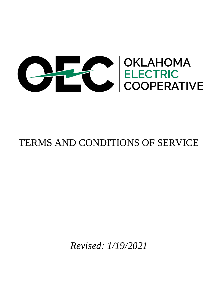

# TERMS AND CONDITIONS OF SERVICE

*Revised: 1/19/2021*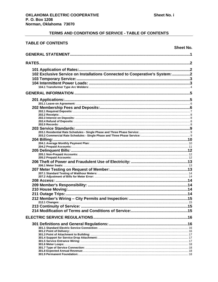| <b>TABLE OF CONTENTS</b>                                                    |                  |
|-----------------------------------------------------------------------------|------------------|
|                                                                             | <b>Sheet No.</b> |
|                                                                             |                  |
| RATES                                                                       |                  |
|                                                                             |                  |
| 102 Exclusive Service on Installations Connected to Cooperative's System: 2 |                  |
|                                                                             |                  |
|                                                                             |                  |
|                                                                             |                  |
|                                                                             |                  |
|                                                                             |                  |
|                                                                             |                  |
|                                                                             |                  |
|                                                                             |                  |
|                                                                             |                  |
|                                                                             |                  |
|                                                                             |                  |
|                                                                             |                  |
|                                                                             |                  |
| 204 Billing:.                                                               |                  |
|                                                                             |                  |
|                                                                             |                  |
|                                                                             |                  |
|                                                                             |                  |
|                                                                             |                  |
|                                                                             |                  |
|                                                                             |                  |
|                                                                             |                  |
|                                                                             |                  |
|                                                                             |                  |
|                                                                             |                  |
|                                                                             |                  |
|                                                                             |                  |
|                                                                             |                  |
|                                                                             |                  |
|                                                                             |                  |
|                                                                             |                  |
|                                                                             |                  |
|                                                                             |                  |
|                                                                             |                  |
|                                                                             |                  |
|                                                                             |                  |
|                                                                             |                  |
|                                                                             |                  |
|                                                                             |                  |
|                                                                             |                  |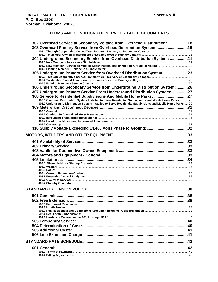| 302 Overhead Service at Secondary Voltage from Overhead Distribution: 18                                     |  |
|--------------------------------------------------------------------------------------------------------------|--|
| 303 Overhead Primary Service from Overhead Distribution System: 19                                           |  |
|                                                                                                              |  |
| 304 Underground Secondary Service from Overhead Distribution System: 21                                      |  |
|                                                                                                              |  |
|                                                                                                              |  |
|                                                                                                              |  |
| 305 Underground Primary Service from Overhead Distribution System: 23                                        |  |
|                                                                                                              |  |
|                                                                                                              |  |
| 306 Underground Secondary Service from Underground Distribution System: 26                                   |  |
| 307 Underground Primary Service From Underground Distribution System: 27                                     |  |
| 308 Service to Residential Subdivisions And Mobile Home Parks:27                                             |  |
| 308.1 Overhead Distribution System Installed to Serve Residential Subdivisions and Mobile Home Parks:  28    |  |
| 308.2 Underground Distribution System Installed to Serve Residential Subdivisions and Mobile Home Parks:  29 |  |
|                                                                                                              |  |
|                                                                                                              |  |
|                                                                                                              |  |
|                                                                                                              |  |
|                                                                                                              |  |
|                                                                                                              |  |
|                                                                                                              |  |
|                                                                                                              |  |
|                                                                                                              |  |
|                                                                                                              |  |
|                                                                                                              |  |
|                                                                                                              |  |
|                                                                                                              |  |
|                                                                                                              |  |
|                                                                                                              |  |
|                                                                                                              |  |
|                                                                                                              |  |
|                                                                                                              |  |
|                                                                                                              |  |
|                                                                                                              |  |
|                                                                                                              |  |
|                                                                                                              |  |
|                                                                                                              |  |
|                                                                                                              |  |
|                                                                                                              |  |
|                                                                                                              |  |
|                                                                                                              |  |
|                                                                                                              |  |
|                                                                                                              |  |
|                                                                                                              |  |
|                                                                                                              |  |
|                                                                                                              |  |
|                                                                                                              |  |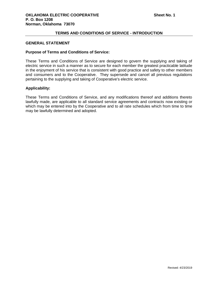## **TERMS AND CONDITIONS OF SERVICE - INTRODUCTION**

## <span id="page-6-0"></span>**GENERAL STATEMENT**

#### **Purpose of Terms and Conditions of Service:**

These Terms and Conditions of Service are designed to govern the supplying and taking of electric service in such a manner as to secure for each member the greatest practicable latitude in the enjoyment of his service that is consistent with good practice and safety to other members and consumers and to the Cooperative. They supersede and cancel all previous regulations pertaining to the supplying and taking of Cooperative's electric service.

## **Applicability:**

These Terms and Conditions of Service, and any modifications thereof and additions thereto lawfully made, are applicable to all standard service agreements and contracts now existing or which may be entered into by the Cooperative and to all rate schedules which from time to time may be lawfully determined and adopted.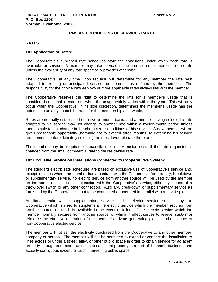#### <span id="page-7-0"></span>**RATES**

#### <span id="page-7-1"></span>**101 Application of Rates**:

The Cooperative's published rate schedules state the conditions under which each rate is available for service. A member may take service at one premise under more than one rate unless the availability of any rate specifically provides otherwise.

The Cooperative, at any time upon request, will determine for any member the rate best adapted to existing or anticipated service requirements as defined by the member. The responsibility for the choice between two or more applicable rates always lies with the member.

The Cooperative reserves the right to determine the rate for a member's usage that is considered seasonal in nature or when the usage widely varies within the year. This will only occur when the Cooperative, in its sole discretion, determines the member's usage has the potential to unfairly impact the rates for the membership as a whole.

Rates are normally established on a twelve-month basis, and a member having selected a rate adapted to his service may not change to another rate within a twelve-month period unless there is substantial change in the character or conditions of his service. A new member will be given reasonable opportunity (normally not to exceed three months) to determine his service requirements before definitely selecting the most favorable rate therefore.

The member may be required to reconcile the line extension costs if the rate requested is changed from the small commercial rate to the residential rate.

#### <span id="page-7-2"></span>**102 Exclusive Service on Installations Connected to Cooperative's System:**

The standard electric rate schedules are based on exclusive use of Cooperative's service and, except in cases where the member has a contract with the Cooperative for auxiliary, breakdown or supplementary service, no electric service from another source will be used by the member on the same installation in conjunction with the Cooperative's service, either by means of a throw-over switch or any other connection. Auxiliary, breakdown or supplementary service as furnished by the Cooperative is not to be connected or operated in parallel with a private plant.

Auxiliary, breakdown or supplementary service is that electric service supplied by the Cooperative which is used to supplement the electric service which the member secures from another source, or which is available in the event of failure of the electric service which the member normally secures from another source, or which in effect serves to relieve, sustain or reinforce the effective operation of the member's private generating plant or other source of non-Cooperative electric service.

The member will not sell the electricity purchased from the Cooperative to any other member, company or person. The member will not be permitted to extend or connect the installation to lines across or under a street, alley, or other public space in order to obtain service for adjacent property through one meter, unless such adjacent property is a part of the same business, and actually contiguous except for such intervening public space.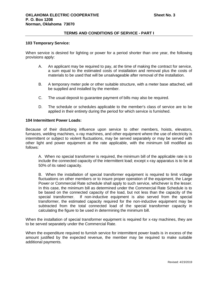#### <span id="page-8-0"></span>**103 Temporary Service:**

When service is desired for lighting or power for a period shorter than one year, the following provisions apply:

- A. An applicant may be required to pay, at the time of making the contract for service, a sum equal to the estimated costs of installation and removal plus the costs of materials to be used that will be unsalvageable after removal of the installation.
- B. A temporary meter pole or other suitable structure, with a meter base attached, will be supplied and installed by the member.
- C. The usual deposit to guarantee payment of bills may also be required.
- D. The schedule or schedules applicable to the member's class of service are to be applied in their entirety during the period for which service is furnished.

#### <span id="page-8-1"></span>**104 Intermittent Power Loads:**

Because of their disturbing influence upon service to other members, hoists, elevators, furnaces, welding machines, x-ray machines, and other equipment where the use of electricity is intermittent or subject to violent fluctuations, may be served separately or may be served with other light and power equipment at the rate applicable, with the minimum bill modified as follows:

A. When no special transformer is required, the minimum bill of the applicable rate is to include the connected capacity of the intermittent load; except x-ray apparatus is to be at 50% of its rated capacity.

B. When the installation of special transformer equipment is required to limit voltage fluctuations on other members or to insure proper operation of the equipment, the Large Power or Commercial Rate schedule shall apply to such service, whichever is the lesser. In this case, the minimum bill as determined under the Commercial Rate Schedule is to be based on the connected capacity of the load, but not less than the capacity of the special transformer. If non-inductive equipment is also served from the special transformer, the estimated capacity required for the non-inductive equipment may be subtracted from the total connected load of the special transformer capacity in calculating the figure to be used in determining the minimum bill.

When the installation of special transformer equipment is required for x-ray machines, they are to be served separately under the Commercial Rate.

When the expenditure required to furnish service for intermittent power loads is in excess of the amount justified by the expected revenue, the member may be required to make suitable additional payments.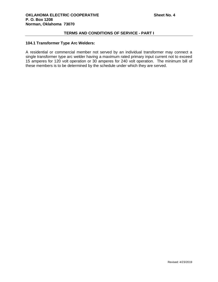## <span id="page-9-0"></span>**104.1 Transformer Type Arc Welders:**

A residential or commercial member not served by an individual transformer may connect a single transformer type arc welder having a maximum rated primary input current not to exceed 15 amperes for 120 volt operation or 30 amperes for 240 volt operation. The minimum bill of these members is to be determined by the schedule under which they are served.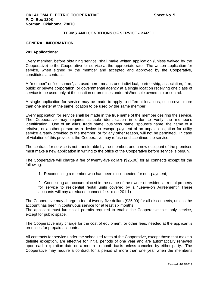## <span id="page-10-0"></span>**GENERAL INFORMATION**

#### <span id="page-10-1"></span>**201 Applications:**

Every member, before obtaining service, shall make written application (unless waived by the Cooperative) to the Cooperative for service at the appropriate rate. The written application for service, when signed by the member and accepted and approved by the Cooperative, constitutes a contract.

A "member" or "consumer", as used here, means one individual, partnership, association, firm, public or private corporation, or governmental agency at a single location receiving one class of service to be used only at the location or premises under his/her sole ownership or control.

A single application for service may be made to apply to different locations, or to cover more than one meter at the same location to be used by the same member.

Every application for service shall be made in the true name of the member desiring the service. The Cooperative may requires suitable identification in order to verify the member's identification. Use of an alias, trade name, business name, spouse's name, the name of a relative, or another person as a device to escape payment of an unpaid obligation for utility service already provided to the member, or for any other reason, will not be permitted. In case of violation of this provision, the Cooperative may refuse or discontinue the service.

The contract for service is not transferable by the member, and a new occupant of the premises must make a new application in writing to the office of the Cooperative before service is begun.

The Cooperative will charge a fee of twenty-five dollars (\$25.00) for all connects except for the following:

1. Reconnecting a member who had been disconnected for non-payment;

2. Connecting an account placed in the name of the owner of residential rental property for service to residential rental units covered by a "Leave-on Agreement." These accounts will pay a reduced connect fee. (see 201.1)

The Cooperative may charge a fee of twenty-five dollars (\$25.00) for all disconnects, unless the account has been in continuous service for at least six months.

The applicant must furnish all permits required to enable the Cooperative to supply service, except for public space.

The Cooperative may charge for the cost of equipment, or other fees, needed at the applicant's premises for prepaid accounts.

All contracts for service under the scheduled rates of the Cooperative, except those that make a definite exception, are effective for initial periods of one year and are automatically renewed upon each expiration date on a month to month basis unless canceled by either party. The Cooperative may require a contract for a period of more than one year when the member's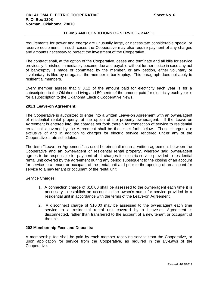requirements for power and energy are unusually large, or necessitate considerable special or reserve equipment. In such cases the Cooperative may also require payment of any charges and amounts necessary to protect the investment of the Cooperative.

The contract shall, at the option of the Cooperative, cease and terminate and all bills for service previously furnished immediately become due and payable without further notice in case any act of bankruptcy is made or committed by the member, or any petition, either voluntary or involuntary, is filed by or against the member in bankruptcy. This paragraph does not apply to residential members.

Every member agrees that \$ 3.12 of the amount paid for electricity each year is for a subscription to the Oklahoma Living and 50 cents of the amount paid for electricity each year is for a subscription to the Oklahoma Electric Cooperative News.

#### <span id="page-11-0"></span>**201.1 Leave-on Agreement:**

The Cooperative is authorized to enter into a written Leave-on Agreement with an owner/agent of residential rental property, at the option of the property owner/agent. If the Leave-on Agreement is entered into, the charges set forth therein for connection of service to residential rental units covered by the Agreement shall be those set forth below. These charges are exclusive of and in addition to charges for electric service rendered under any of the Cooperative's rate schedules.

The term "Leave-on Agreement" as used herein shall mean a written agreement between the Cooperative and an owner/agent of residential rental property, whereby said owner/agent agrees to be responsible for payment of all charges for electric service provided to residential rental unit covered by the agreement during any period subsequent to the closing of an account for service to a tenant or occupant of the rental unit and prior to the opening of an account for service to a new tenant or occupant of the rental unit.

Service Charges:

- 1. A connection charge of \$10.00 shall be assessed to the owner/agent each time it is necessary to establish an account in the owner's name for service provided to a residential unit in accordance with the terms of the Leave-on Agreement.
- 2. A disconnect charge of \$10.00 may be assessed to the owner/agent each time service to a residential rental unit covered by a Leave-on Agreement is disconnected, rather than transferred to the account of a new tenant or occupant of the unit.

#### <span id="page-11-1"></span>**202 Membership Fees and Deposits:**

A membership fee shall be paid by each member receiving service from the Cooperative, or upon application for service from the Cooperative, as required in the By-Laws of the Cooperative.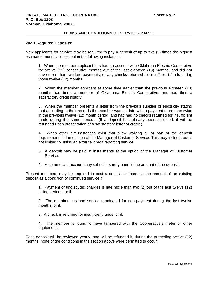#### <span id="page-12-0"></span>**202.1 Required Deposits:**

New applicants for service may be required to pay a deposit of up to two (2) times the highest estimated monthly bill except in the following instances:

1. When the member applicant has had an account with Oklahoma Electric Cooperative for twelve (12) consecutive months out of the last eighteen (18) months, and did not have more than two late payments, or any checks returned for insufficient funds during those twelve (12) months.

2. When the member applicant at some time earlier than the previous eighteen (18) months had been a member of Oklahoma Electric Cooperative, and had then a satisfactory credit history.

3. When the member presents a letter from the previous supplier of electricity stating that according to their records the member was not late with a payment more than twice in the previous twelve (12) month period, and had had no checks returned for insufficient funds during the same period. (If a deposit has already been collected, it will be refunded upon presentation of a satisfactory letter of credit.)

4. When other circumstances exist that allow waiving all or part of the deposit requirement, in the opinion of the Manager of Customer Service. This may include, but is not limited to, using an external credit reporting service.

- 5. A deposit may be paid in installments at the option of the Manager of Customer Service.
- 6. A commercial account may submit a surety bond in the amount of the deposit.

Present members may be required to post a deposit or increase the amount of an existing deposit as a condition of continued service if:

1. Payment of undisputed charges is late more than two (2) out of the last twelve (12) billing periods, or if:

2. The member has had service terminated for non-payment during the last twelve months, or if:

3. A check is returned for insufficient funds, or if:

4. The member is found to have tampered with the Cooperative's meter or other equipment.

Each deposit will be reviewed yearly, and will be refunded if, during the preceding twelve (12) months, none of the conditions in the section above were permitted to occur.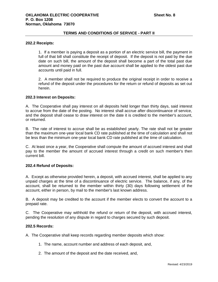#### <span id="page-13-0"></span>**202.2 Receipts:**

1. If a member is paying a deposit as a portion of an electric service bill, the payment in full of that bill shall constitute the receipt of deposit. If the deposit is not paid by the due date on such bill, the amount of the deposit shall become a part of the total past due amount and money paid on the past due account shall be applied to the oldest past due accounts until paid in full.

2. A member shall not be required to produce the original receipt in order to receive a refund of the deposit under the procedures for the return or refund of deposits as set out herein.

#### <span id="page-13-1"></span>**202.3 Interest on Deposits:**

A. The Cooperative shall pay interest on all deposits held longer than thirty days, said interest to accrue from the date of the posting. No interest shall accrue after discontinuance of service, and the deposit shall cease to draw interest on the date it is credited to the member's account, or returned.

B. The rate of interest to accrue shall be as established yearly. The rate shall not be greater than the maximum one-year local bank CD rate published at the time of calculation and shall not be less than the minimum one-year local bank CD rate published at the time of calculation.

C. At least once a year, the Cooperative shall compute the amount of accrued interest and shall pay to the member the amount of accrued interest through a credit on such member's then current bill.

#### <span id="page-13-2"></span>**202.4 Refund of Deposits:**

A. Except as otherwise provided herein, a deposit, with accrued interest, shall be applied to any unpaid charges at the time of a discontinuance of electric service. The balance, if any, of the account, shall be returned to the member within thirty (30) days following settlement of the account, either in person, by mail to the member's last known address.

B. A deposit may be credited to the account if the member elects to convert the account to a prepaid rate.

C. The Cooperative may withhold the refund or return of the deposit, with accrued interest, pending the resolution of any dispute in regard to charges secured by such deposit.

#### <span id="page-13-3"></span>**202.5 Records:**

A. The Cooperative shall keep records regarding member deposits which show:

- 1. The name, account number and address of each deposit, and,
- 2. The amount of the deposit and the date received, and,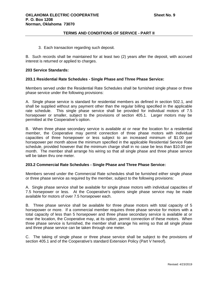3. Each transaction regarding such deposit.

B. Such records shall be maintained for at least two (2) years after the deposit, with accrued interest is returned or applied to charges.

#### <span id="page-14-0"></span>**203 Service Standards:**

#### <span id="page-14-1"></span>**203.1 Residential Rate Schedules - Single Phase and Three Phase Service:**

Members served under the Residential Rate Schedules shall be furnished single phase or three phase service under the following provisions:

A. Single phase service is standard for residential members as defined in section 502.1, and shall be supplied without any payment other than the regular billing specified in the applicable rate schedule. This single phase service shall be provided for individual motors of 7.5 horsepower or smaller, subject to the provisions of section 405.1. Larger motors may be permitted at the Cooperative's option.

B. When three phase secondary service is available at or near the location for a residential member, the Cooperative may permit connection of three phase motors with individual capacities of three horsepower or less subject to an increased minimum of \$1.00 per horsepower per month above the minimum specified in the applicable Residential Service Rate schedule, provided however that the minimum charge shall in no case be less than \$10.00 per month. The member shall arrange his wiring so that all single phase and three phase service will be taken thru one meter.

## <span id="page-14-2"></span>**203.2 Commercial Rate Schedules - Single Phase and Three Phase Service:**

Members served under the Commercial Rate schedules shall be furnished either single phase or three phase service as required by the member, subject to the following provisions:

A. Single phase service shall be available for single phase motors with individual capacities of 7.5 horsepower or less. At the Cooperative's options single phase service may be made available for motors of over 7.5 horsepower each.

B. Three phase service shall be available for three phase motors with total capacity of 5 horsepower or more. If a commercial member requires three phase service for motors with a total capacity of less than 5 horsepower and three phase secondary service is available at or near the location, the Cooperative may, at its option, permit connection of these motors. When three phase service is furnished, the member shall arrange his wiring so that all single phase and three phase service can be taken through one meter.

C. The taking of single phase or three phase service shall be subject to the provisions of section 405.1 and of the Cooperative's standard Extension Policy (Part V hereof).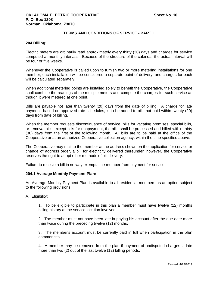#### <span id="page-15-0"></span>**204 Billing:**

Electric meters are ordinarily read approximately every thirty (30) days and charges for service computed at monthly intervals. Because of the structure of the calendar the actual interval will be four or five weeks.

Whenever the Cooperative is called upon to furnish two or more metering installations for one member, each installation will be considered a separate point of delivery, and charges for each will be calculated separately.

When additional metering points are installed solely to benefit the Cooperative, the Cooperative shall combine the readings of the multiple meters and compute the charges for such service as though it were metered at one point.

Bills are payable not later than twenty (20) days from the date of billing. A charge for late payment, based on approved rate schedules, is to be added to bills not paid within twenty (20) days from date of billing.

When the member requests discontinuance of service, bills for vacating premises, special bills, or removal bills, except bills for nonpayment, the bills shall be processed and billed within thirty (30) days from the first of the following month. All bills are to be paid at the office of the Cooperative or at an authorized Cooperative collection agency, within the time specified above.

The Cooperative may mail to the member at the address shown on the application for service or change of address order, a bill for electricity delivered thereunder; however, the Cooperative reserves the right to adopt other methods of bill delivery.

Failure to receive a bill in no way exempts the member from payment for service.

#### <span id="page-15-1"></span>**204.1 Average Monthly Payment Plan:**

An Average Monthly Payment Plan is available to all residential members as an option subject to the following provisions:

A. Eligibility:

1. To be eligible to participate in this plan a member must have twelve (12) months billing history at the service location involved.

2. The member must not have been late in paying his account after the due date more than twice during the preceding twelve (12) months.

3. The member's account must be currently paid in full when participation in the plan commences.

4. A member may be removed from the plan if payment of undisputed charges is late more than two (2) out of the last twelve (12) billing periods.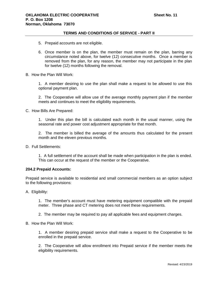- 5. Prepaid accounts are not eligible.
- 6. Once member is on the plan, the member must remain on the plan, barring any circumstance noted above, for twelve (12) consecutive months. Once a member is removed from the plan, for any reason, the member may not participate in the plan for twelve (12) months following the removal.
- B. How the Plan Will Work:

1. A member desiring to use the plan shall make a request to be allowed to use this optional payment plan.

2. The Cooperative will allow use of the average monthly payment plan if the member meets and continues to meet the eligibility requirements.

C. How Bills Are Prepared:

1. Under this plan the bill is calculated each month in the usual manner, using the seasonal rate and power cost adjustment appropriate for that month.

2. The member is billed the average of the amounts thus calculated for the present month and the eleven previous months.

D. Full Settlements:

1. A full settlement of the account shall be made when participation in the plan is ended. This can occur at the request of the member or the Cooperative.

#### <span id="page-16-0"></span>**204.2 Prepaid Accounts:**

Prepaid service is available to residential and small commercial members as an option subject to the following provisions:

A. Eligibility:

1. The member's account must have metering equipment compatible with the prepaid meter. Three phase and CT metering does not meet these requirements.

2. The member may be required to pay all applicable fees and equipment charges.

B. How the Plan Will Work:

1. A member desiring prepaid service shall make a request to the Cooperative to be enrolled in the prepaid service.

2. The Cooperative will allow enrollment into Prepaid service if the member meets the eligibility requirements.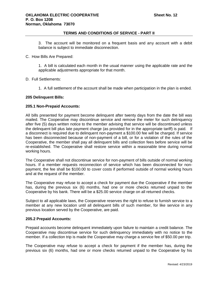3. The account will be monitored on a frequent basis and any account with a debit balance is subject to immediate disconnection.

#### C. How Bills Are Prepared:

1. A bill is calculated each month in the usual manner using the applicable rate and the applicable adjustments appropriate for that month.

D. Full Settlements:

1. A full settlement of the account shall be made when participation in the plan is ended.

#### <span id="page-17-0"></span>**205 Delinquent Bills:**

#### <span id="page-17-1"></span>**205.1 Non-Prepaid Accounts:**

All bills presented for payment become delinquent after twenty days from the date the bill was mailed. The Cooperative may discontinue service and remove the meter for such delinquency after five (5) days written notice to the member advising that service will be discontinued unless the delinquent bill plus late payment charge (as provided for in the appropriate tariff) is paid. If a disconnect is required due to delinquent non-payment a \$100.00 fee will be charged. If service has been disconnected because of non-payment of a bill, or for a violation of the rules of the Cooperative, the member shall pay all delinquent bills and collection fees before service will be re-established. The Cooperative shall restore service within a reasonable time during normal working hours.

The Cooperative shall not discontinue service for non-payment of bills outside of normal working hours. If a member requests reconnection of service which has been disconnected for nonpayment, the fee shall be \$100.00 to cover costs if performed outside of normal working hours and at the request of the member.

The Cooperative may refuse to accept a check for payment due the Cooperative if the member has, during the previous six (6) months, had one or more checks returned unpaid to the Cooperative by his bank. There will be a \$25.00 service charge on all returned checks.

Subject to all applicable laws, the Cooperative reserves the right to refuse to furnish service to a member at any new location until all delinquent bills of such member, for like service in any previous location served by the Cooperative, are paid.

#### <span id="page-17-2"></span>**205.2 Prepaid Accounts:**

Prepaid accounts become delinquent immediately upon failure to maintain a credit balance. The Cooperative may discontinue service for such delinquency immediately with no notice to the member. If a collection trip is made the Cooperative may charge a service fee of \$50.00 per trip.

The Cooperative may refuse to accept a check for payment if the member has, during the previous six (6) months, had one or more checks returned unpaid to the Cooperative by his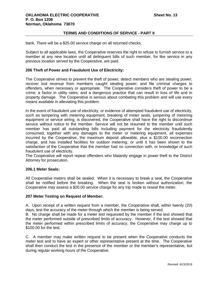bank. There will be a \$25.00 service charge on all returned checks.

Subject to all applicable laws, the Cooperative reserves the right to refuse to furnish service to a member at any new location until all delinquent bills of such member, for like service in any previous location served by the Cooperative, are paid.

## <span id="page-18-0"></span>**206 Theft of Power and Fraudulent Use of Electricity:**

The Cooperative strives to prevent the theft of power; detect members who are stealing power; recover lost revenue from members caught stealing power; and file criminal charges to offenders, when necessary or appropriate. The Cooperative considers theft of power to be a crime; a factor in utility rates; and a dangerous practice that can result in loss of life and in property damage. The Cooperative is serious about combating this problem and will use every means available in alleviating this problem.

In the event of fraudulent use of electricity, or evidence of attempted fraudulent use of electricity, such as tampering with metering equipment, breaking of meter seals, jumpering of metering equipment or service wiring, is discovered, the Cooperative shall have the right to discontinue service without notice to the member. Service will not be resumed to the member until such member has paid all outstanding bills including payment for the electricity fraudulently consumed, together with any damages to the meter or metering equipment, all expenses incurred by the Cooperative, the maximum deposit allowable, plus a \$100.00 reconnection charge, and has installed facilities for outdoor metering; or until it has been shown to the satisfaction of the Cooperative that the member had no connection with, or knowledge of such fraudulent use of electricity.

The Cooperative will report repeat offenders who blatantly engage in power theft to the District Attorney for prosecution.

## <span id="page-18-1"></span>**206.1 Meter Seals:**

All Cooperative meters shall be sealed. When it is necessary to break a seal, the Cooperative shall be notified before the breaking. When the seal is broken without authorization, the Cooperative may assess a \$20.00 service charge for any trip made to reseal the meter.

#### <span id="page-18-2"></span>**207 Meter Testing on Request of Member:**

A. Upon receipt of a written request from a member, the Cooperative shall, within twenty (20) days, test the accuracy of the meter through which the member is being served.

B. No charge shall be made for a meter test requested by the member if the test showed that the meter performed outside of prescribed limits of accuracy. However, if the test showed that the meter performed within prescribed limits of accuracy, the Cooperative may charge up to \$100.00 for the test.

C. A member may make written request to be present when the Cooperative conducts the meter test and to have an expert or other representative present at the time. The Cooperative shall then conduct the test in the presence of the member or the member's representative, but during regular working hours of the Cooperative.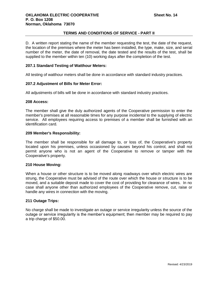D. A written report stating the name of the member requesting the test, the date of the request, the location of the premises where the meter has been installed, the type, make, size, and serial number of the meter, the date of removal, the date tested and the results of the test, shall be supplied to the member within ten (10) working days after the completion of the test.

#### <span id="page-19-0"></span>**207.1 Standard Testing of Watthour Meters:**

All testing of watthour meters shall be done in accordance with standard industry practices.

#### <span id="page-19-1"></span>**207.2 Adjustment of Bills for Meter Error:**

All adjustments of bills will be done in accordance with standard industry practices.

#### <span id="page-19-2"></span>**208 Access:**

The member shall give the duly authorized agents of the Cooperative permission to enter the member's premises at all reasonable times for any purpose incidental to the supplying of electric service. All employees requiring access to premises of a member shall be furnished with an identification card.

#### <span id="page-19-3"></span>**209 Member's Responsibility:**

The member shall be responsible for all damage to, or loss of, the Cooperative's property located upon his premises, unless occasioned by causes beyond his control, and shall not permit anyone who is not an agent of the Cooperative to remove or tamper with the Cooperative's property.

## <span id="page-19-4"></span>**210 House Moving:**

When a house or other structure is to be moved along roadways over which electric wires are strung, the Cooperative must be advised of the route over which the house or structure is to be moved, and a suitable deposit made to cover the cost of providing for clearance of wires. In no case shall anyone other than authorized employees of the Cooperative remove, cut, raise or handle any wires in connection with the moving.

#### <span id="page-19-5"></span>**211 Outage Trips:**

No charge shall be made to investigate an outage or service irregularity unless the source of the outage or service irregularity is the member's equipment; then member may be required to pay a trip charge of \$50.00.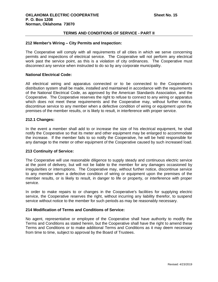#### <span id="page-20-0"></span>**212 Member's Wiring – City Permits and Inspection:**

The Cooperative will comply with all requirements of all cities in which we serve concerning permits and inspections of electrical service. The Cooperative will not perform any electrical work past the service point, as this is a violation of city ordinances. The Cooperative must disconnect any service when instructed to do so by any corporate municipality.

#### **National Electrical Code:**

All electrical wiring and apparatus connected or to be connected to the Cooperative's distribution system shall be made, installed and maintained in accordance with the requirements of the National Electrical Code, as approved by the American Standards Association, and the Cooperative. The Cooperative reserves the right to refuse to connect to any wiring or apparatus which does not meet these requirements and the Cooperative may, without further notice, discontinue service to any member when a defective condition of wiring or equipment upon the premises of the member results, or is likely to result, in interference with proper service.

### <span id="page-20-1"></span>**212.1 Changes:**

In the event a member shall add to or increase the size of his electrical equipment, he shall notify the Cooperative so that its meter and other equipment may be enlarged to accommodate the increase. If the member fails to so notify the Cooperative, he will be held responsible for any damage to the meter or other equipment of the Cooperative caused by such increased load.

#### <span id="page-20-2"></span>**213 Continuity of Service:**

The Cooperative will use reasonable diligence to supply steady and continuous electric service at the point of delivery, but will not be liable to the member for any damages occasioned by irregularities or interruptions. The Cooperative may, without further notice, discontinue service to any member when a defective condition of wiring or equipment upon the premises of the member results, or is likely to result, in danger to life or property, or interference with proper service.

In order to make repairs to or changes in the Cooperative's facilities for supplying electric service, the Cooperative reserves the right, without incurring any liability therefor, to suspend service without notice to the member for such periods as may be reasonably necessary.

## <span id="page-20-3"></span>**214 Modification of Terms and Conditions of Service:**

No agent, representative or employee of the Cooperative shall have authority to modify the Terms and Conditions as stated herein, but the Cooperative shall have the right to amend these Terms and Conditions or to make additional Terms and Conditions as it may deem necessary from time to time, subject to approval by the Board of Trustees.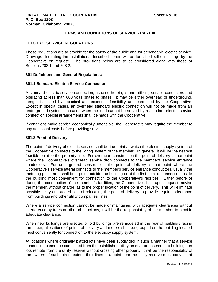#### <span id="page-21-0"></span>**ELECTRIC SERVICE REGULATIONS**

These regulations are to provide for the safety of the public and for dependable electric service. Drawings illustrating the installations described herein will be furnished without charge by the Cooperative on request. The provisions below are to be considered along with those of Sections 203.1 and 203.2.

## <span id="page-21-1"></span>**301 Definitions and General Regulations:**

#### <span id="page-21-2"></span>**301.1 Standard Electric Service Connection:**

A standard electric service connection, as used herein, is one utilizing service conductors and operating at less than 600 volts phase to phase. It may be either overhead or underground. Length is limited by technical and economic feasibility as determined by the Cooperative. Except in special cases, an overhead standard electric connection will not be made from an underground system. In cases when the load cannot be served by a standard electric service connection special arrangements shall be made with the Cooperative.

If conditions make service economically unfeasible, the Cooperative may require the member to pay additional costs before providing service.

#### <span id="page-21-3"></span>**301.2 Point of Delivery:**

The point of delivery of electric service shall be the point at which the electric supply system of the Cooperative connects to the wiring system of the member. In general, it will be the nearest feasible point to the property line. For overhead construction the point of delivery is that point where the Cooperative's overhead service drop connects to the member's service entrance conductors. For underground construction, the point of delivery is that point where the Cooperative's service lateral connects to the member's service entrance conductors, usually the metering point, and shall be a point outside the building or at the first point of connection inside the building most convenient for connection to the Cooperative's facilities. Either before or during the construction of the member's facilities, the Cooperative shall, upon request, advise the member, without charge, as to the proper location of the point of delivery. This will eliminate possible delay and added cost of relocating the point of delivery to provide required clearance from buildings and other utility companies' lines.

Where a service connection cannot be made or maintained with adequate clearances without interference by trees or other obstructions, it will be the responsibility of the member to provide adequate clearance.

When new buildings are erected or old buildings are remodeled in the rear of buildings facing the street, allocations of points of delivery and meters shall be grouped on the building located most conveniently for connection to the electricity supply system.

At locations where originally platted lots have been subdivided in such a manner that a service connection cannot be completed from the established utility reserve or easement to buildings on lots remote from the utility reserve without crossing other property, it will be the responsibility of the owners of such lots to extend their lines to a point near the utility reserve most convenient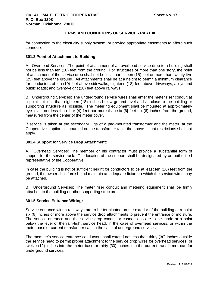for connection to the electricity supply system, or provide appropriate easements to afford such connection.

## <span id="page-22-0"></span>**301.3 Point of Attachment to Building:**

A. Overhead Services: The point of attachment of an overhead service drop to a building shall not be less than ten (10) feet from the ground. For structures of more than one story, the point of attachment of the service drop shall not be less than fifteen (15) feet or more than twenty-five (25) feet above the ground. All attachments shall be at a height to permit a minimum clearance for conductors of ten (10) feet above sidewalks; eighteen (18) feet above driveways, alleys and public roads; and twenty-eight (28) feet above railways.

B. Underground Services: The underground service wires shall enter the meter riser conduit at a point not less than eighteen (18) inches below ground level and as close to the building or supporting structure as possible. The metering equipment shall be mounted at approximately eye level; not less than four (4) feet nor more than six (6] feet six (6) inches from the ground, measured from the center of the meter cover.

If service is taken at the secondary lugs of a pad-mounted transformer and the meter, at the Cooperative's option, is mounted on the transformer tank, the above height restrictions shall not apply.

## <span id="page-22-1"></span>**301.4 Support for Service Drop Attachment:**

A. Overhead Services: The member or his contractor must provide a substantial form of support for the service rack. The location of the support shall be designated by an authorized representative of the Cooperative.

In case the building is not of sufficient height for conductors to be at least ten (10) feet from the ground, the owner shall furnish and maintain an adequate fixture to which the service wires may be attached.

B. Underground Services: The meter riser conduit and metering equipment shall be firmly attached to the building or other supporting structure.

## <span id="page-22-2"></span>**301.5 Service Entrance Wiring:**

Service entrance wiring raceways are to be terminated on the exterior of the building at a point six (6) inches or more above the service drop attachments to prevent the entrance of moisture. The service entrance and the service drop conductor connections are to be made at a point below the level of the rain-tight service head, in the case of overhead services, or within the meter base or current transformer can, in the case of underground services.

The member's service entrance conductors shall extend not less than thirty (30) inches outside the service head to permit proper attachment to the service drop wires for overhead services, or twelve (12) inches into the meter base or thirty (30) inches into the current transformer can for underground services.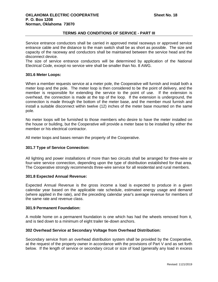Service entrance conductors shall be carried in approved metal raceways or approved service entrance cable and the distance to the main switch shall be as short as possible. The size and capacity of the raceway and conductors shall be maintained between the service head and the disconnect device.

The size of service entrance conductors will be determined by application of the National Electrical Code, except no service wire shall be smaller than No. 8 AWG.

#### <span id="page-23-0"></span>**301.6 Meter Loops:**

When a member requests service at a meter pole, the Cooperative will furnish and install both a meter loop and the pole. The meter loop is then considered to be the point of delivery, and the member is responsible for extending the service to the point of use. If the extension is overhead, the connection is made at the top of the loop. If the extension is underground, the connection is made through the bottom of the meter base, and the member must furnish and install a suitable disconnect within twelve (12) inches of the meter base mounted on the same pole.

No meter loops will be furnished to those members who desire to have the meter installed on the house or building, but the Cooperative will provide a meter base to be installed by either the member or his electrical contractor.

All meter loops and bases remain the property of the Cooperative.

## <span id="page-23-1"></span>**301.7 Type of Service Connection:**

All lighting and power installations of more than two circuits shall be arranged for three-wire or four-wire service connection, depending upon the type of distribution established for that area. The Cooperative strongly recommends three-wire service for all residential and rural members.

## <span id="page-23-2"></span>**301.8 Expected Annual Revenue:**

Expected Annual Revenue is the gross income a load is expected to produce in a given calendar year based on the applicable rate schedule, estimated energy usage and demand (where applied in the rate), and the preceding calendar year's average revenue for members of the same rate and revenue class.

#### <span id="page-23-3"></span>**301.9 Permanent Foundation:**

A mobile home on a permanent foundation is one which has had the wheels removed from it, and is tied down to a minimum of eight trailer tie-down anchors.

## <span id="page-23-4"></span>**302 Overhead Service at Secondary Voltage from Overhead Distribution:**

Secondary service from an overhead distribution system shall be provided by the Cooperative, at the request of the property owner in accordance with the provisions of Part V and as set forth below. If the length of service or secondary circuit or size of load (generally any load in excess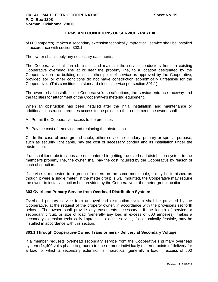of 600 amperes), makes a secondary extension technically impractical, service shall be installed in accordance with section 303.1.

The owner shall supply any necessary easements.

The Cooperative shall furnish, install and maintain the service conductors from an existing Cooperative overhead line at or near the property line, to a location designated by the Cooperative on the building or such other point of service as approved by the Cooperative, provided soil or other conditions do not make construction economically unfeasible for the Cooperative. (This constitutes a standard electric service per section 301.1).

The owner shall install, to the Cooperative's specifications, the service entrance raceway and the facilities for attachment of the Cooperative's metering equipment.

When an obstruction has been installed after the initial installation, and maintenance or additional construction requires access to the poles or other equipment, the owner shall:

- A. Permit the Cooperative access to the premises.
- B. Pay the cost of removing and replacing the obstruction.

C. In the case of underground cable, either service, secondary, primary or special purpose, such as security light cable, pay the cost of necessary conduit and its installation under the obstruction.

If unusual fixed obstructions are encountered in getting the overhead distribution system to the member's property line, the owner shall pay the cost incurred by the Cooperative by reason of such obstruction.

If service is requested to a group of meters on the same meter pole, it may be furnished as though it were a single meter. If the meter group is wall mounted, the Cooperative may require the owner to install a junction box provided by the Cooperative at the meter group location.

## <span id="page-24-0"></span>**303 Overhead Primary Service from Overhead Distribution System:**

Overhead primary service from an overhead distribution system shall be provided by the Cooperative, at the request of the property owner, in accordance with the provisions set forth below. The owner shall provide any easements necessary. If the length of service or secondary circuit, or size of load (generally any load in excess of 600 amperes), makes a secondary extension technically impractical, electric service, if economically feasible, may be installed in accordance with this section.

## <span id="page-24-1"></span>**303.1 Through Cooperative-Owned Transformers - Delivery at Secondary Voltage:**

If a member requests overhead secondary service from the Cooperative's primary overhead system (14,400 volts phase to ground) to one or more individually metered points of delivery for a load for which a secondary extension is impractical (generally a load in excess of 600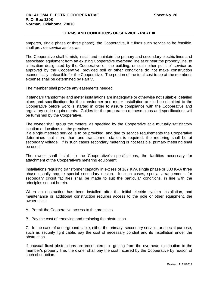amperes, single phase or three phase), the Cooperative, if it finds such service to be feasible, shall provide service as follows:

The Cooperative shall furnish, install and maintain the primary and secondary electric lines and associated equipment from an existing Cooperative overhead line at or near the property line, to a location designated by the Cooperative on the building, or such other point of service as approved by the Cooperative, provided soil or other conditions do not make construction economically unfeasible for the Cooperative. The portion of the total cost to be at the member's expense shall be determined by Part V.

The member shall provide any easements needed.

If standard transformer and meter installations are inadequate or otherwise not suitable, detailed plans and specifications for the transformer and meter installation are to be submitted to the Cooperative before work is started in order to assure compliance with the Cooperative and regulatory code requirements. Guides for the preparation of these plans and specifications will be furnished by the Cooperative.

The owner shall group the meters, as specified by the Cooperative at a mutually satisfactory location or locations on the premises.

If a single metered service is to be provided, and due to service requirements the Cooperative determines that more than one transformer station is required, the metering shall be at secondary voltage. If in such cases secondary metering is not feasible, primary metering shall be used.

The owner shall install, to the Cooperative's specifications, the facilities necessary for attachment of the Cooperative's metering equipment.

Installations requiring transformer capacity in excess of 167 KVA single phase or 300 KVA three phase usually require special secondary design. In such cases, special arrangements for secondary circuit facilities shall be made to suit the particular conditions, in line with the principles set out herein.

When an obstruction has been installed after the initial electric system installation, and maintenance or additional construction requires access to the pole or other equipment, the owner shall:

A. Permit the Cooperative access to the premises.

B. Pay the cost of removing and replacing the obstruction.

C. In the case of underground cable, either the primary, secondary service, or special purpose, such as security light cable, pay the cost of necessary conduit and its installation under the obstruction.

If unusual fixed obstructions are encountered in getting from the overhead distribution to the member's property line, the owner shall pay the cost incurred by the Cooperative by reason of such obstruction.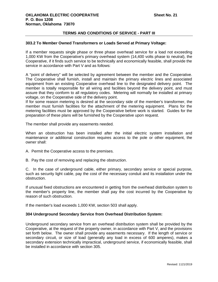#### <span id="page-26-0"></span>**303.2 To Member Owned Transformers or Loads Served at Primary Voltage:**

If a member requests single phase or three phase overhead service for a load not exceeding 1,000 KW from the Cooperative's primary overhead system (14,400 volts phase to neutral), the Cooperative, if it finds such service to be technically and economically feasible, shall provide the service in accordance with Part V and as follows:

A "point of delivery" will be selected by agreement between the member and the Cooperative. The Cooperative shall furnish, install and maintain the primary electric lines and associated equipment from an existing Cooperative overhead line to the designated delivery point. The member is totally responsible for all wiring and facilities beyond the delivery point, and must assure that they conform to all regulatory codes. Metering will normally be installed at primary voltage, on the Cooperative side of the delivery point.

If for some reason metering is desired at the secondary side of the member's transformer, the member must furnish facilities for the attachment of the metering equipment. Plans for the metering facilities must be approved by the Cooperative before work is started. Guides for the preparation of these plans will be furnished by the Cooperative upon request.

The member shall provide any easements needed.

When an obstruction has been installed after the initial electric system installation and maintenance or additional construction requires access to the pole or other equipment, the owner shall:

- A. Permit the Cooperative access to the premises.
- B. Pay the cost of removing and replacing the obstruction.

C. In the case of underground cable, either primary, secondary service or special purpose, such as security light cable, pay the cost of the necessary conduit and its installation under the obstruction.

If unusual fixed obstructions are encountered in getting from the overhead distribution system to the member's property line, the member shall pay the cost incurred by the Cooperative by reason of such obstruction.

<span id="page-26-1"></span>If the member's load exceeds 1,000 KW, section 503 shall apply.

## **304 Underground Secondary Service from Overhead Distribution System:**

Underground secondary service from an overhead distribution system shall be provided by the Cooperative, at the request of the property owner, in accordance with Part V, and the provisions set forth below. The owner shall provide any easements necessary. If the length of service or secondary circuit, or size of load (generally any load in excess of 600 amperes), makes a secondary extension technically impractical, underground service, if economically feasible, shall be installed in accordance with section 305.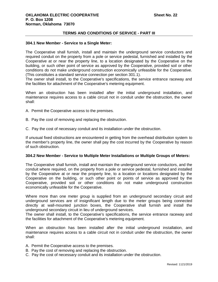#### <span id="page-27-0"></span>**304.1 New Member - Service to a Single Meter:**

The Cooperative shall furnish, install and maintain the underground service conductors and required conduit on the property from a pole or service pedestal, furnished and installed by the Cooperative at or near the property line, to a location designated by the Cooperative on the building, or such other point of service as approved by the Cooperative, provided soil or other conditions do not make underground construction economically unfeasible for the Cooperative. (This constitutes a standard service connection per section 301.1).

The owner shall install, to the Cooperative's specifications, the service entrance raceway and the facilities for attachment of the Cooperative's metering equipment.

When an obstruction has been installed after the initial underground installation, and maintenance requires access to a cable circuit not in conduit under the obstruction, the owner shall:

- A. Permit the Cooperative access to the premises.
- B. Pay the cost of removing and replacing the obstruction.
- C. Pay the cost of necessary conduit and its installation under the obstruction.

If unusual fixed obstructions are encountered in getting from the overhead distribution system to the member's property line, the owner shall pay the cost incurred by the Cooperative by reason of such obstruction.

#### <span id="page-27-1"></span>**304.2 New Member - Service to Multiple Meter Installations or Multiple Groups of Meters:**

The Cooperative shall furnish, install and maintain the underground service conductors, and the conduit where required, on the property from a pole or service pedestal, furnished and installed by the Cooperative at or near the property line, to a location or locations designated by the Cooperative on the building, or such other point or points of service as approved by the Cooperative, provided soil or other conditions do not make underground construction economically unfeasible for the Cooperative.

Where more than one meter group is supplied from an underground secondary circuit and underground services are of insignificant length due to the meter groups being connected directly at wall-mounted junction boxes, the Cooperative shall furnish and install the underground secondary circuit in lieu of underground services.

The owner shall install, to the Cooperative's specifications, the service entrance raceway and the facilities for attachment of the Cooperative's metering equipment.

When an obstruction has been installed after the initial underground installation, and maintenance requires access to a cable circuit not in conduit under the obstruction, the owner shall:

- A. Permit the Cooperative access to the premises.
- B. Pay the cost of removing and replacing the obstruction.
- C. Pay the cost of necessary conduit and its installation under the obstruction.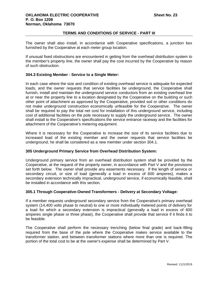The owner shall also install, in accordance with Cooperative specifications, a junction box furnished by the Cooperative at each meter group location.

If unusual fixed obstructions are encountered in getting from the overhead distribution system to the member's property line, the owner shall pay the cost incurred by the Cooperative by reason of such obstruction.

## <span id="page-28-0"></span>**304.3 Existing Member - Service to a Single Meter:**

In each case where the size and condition of existing overhead service is adequate for expected loads, and the owner requests that service facilities be underground, the Cooperative shall furnish, install and maintain the underground service conductors from an existing overhead line at or near the property line to a location designated by the Cooperative on the building or such other point of attachment as approved by the Cooperative, provided soil or other conditions do not make underground construction economically unfeasible for the Cooperative. The owner shall be required to pay the total net cost for installation of this underground service, including cost of additional facilities on the pole necessary to supply the underground service. The owner shall install to the Cooperative's specifications the service entrance raceway and the facilities for attachment of the Cooperative's metering equipment.

Where it is necessary for the Cooperative to increase the size of its service facilities due to increased load of the existing member and the owner requests that service facilities be underground, he shall be considered as a new member under section 304.1.

## <span id="page-28-1"></span>**305 Underground Primary Service from Overhead Distribution System:**

Underground primary service from an overhead distribution system shall be provided by the Cooperative, at the request of the property owner, in accordance with Part V and the provisions set forth below. The owner shall provide any easements necessary. If the length of service or secondary circuit, or size of load (generally a load in excess of 600 amperes), makes a secondary extension technically impractical, underground service, if economically feasible, shall be installed in accordance with this section.

## <span id="page-28-2"></span>**305.1 Through Cooperative-Owned Transformers - Delivery at Secondary Voltage:**

If a member requests underground secondary service from the Cooperative's primary overhead system (14,400 volts phase to neutral) to one or more individually metered points of delivery for a load for which a secondary extension is impractical (generally a load in excess of 600 amperes single phase or three phase), the Cooperative shall provide that service if it finds it to be feasible.

The Cooperative shall perform the necessary trenching (below final grade) and back-filling required from the base of the pole where the Cooperative makes service available to the transformer station, and between transformer stations where more than one is required. The portion of the total cost to be at the owner's expense shall be determined by Part V.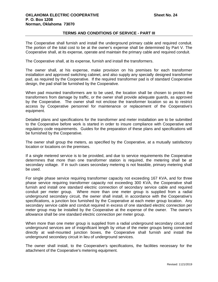The Cooperative shall furnish and install the underground primary cable and required conduit. The portion of the total cost to be at the owner's expense shall be determined by Part V. The Cooperative shall, at its expense, operate and maintain the primary cable and required conduit.

The Cooperative shall, at its expense, furnish and install the transformers.

The owner shall, at his expense, make provision on his premises for each transformer installation and approved switching cabinet, and also supply any specially designed transformer pad, as required by the Cooperative. If the required transformer pad is of standard Cooperative design, the pad shall be furnished by the Cooperative.

When pad mounted transformers are to be used, the location shall be chosen to protect the transformers from damage by traffic, or the owner shall provide adequate guards, as approved by the Cooperative. The owner shall not enclose the transformer location so as to restrict access by Cooperative personnel for maintenance or replacement of the Cooperative's equipment.

Detailed plans and specifications for the transformer and meter installation are to be submitted to the Cooperative before work is started in order to insure compliance with Cooperative and regulatory code requirements. Guides for the preparation of these plans and specifications will be furnished by the Cooperative.

The owner shall group the meters, as specified by the Cooperative, at a mutually satisfactory location or locations on the premises.

If a single metered service is to be provided, and due to service requirements the Cooperative determines that more than one transformer station is required, the metering shall be at secondary voltage. If in such cases secondary metering is not feasible, primary metering shall be used.

For single phase service requiring transformer capacity not exceeding 167 KVA, and for three phase service requiring transformer capacity not exceeding 300 KVA, the Cooperative shall furnish and install one standard electric connection of secondary service cable and required conduit per meter group. Where more than one meter group is supplied from a radial underground secondary circuit, the owner shall install, in accordance with the Cooperative's specifications, a junction box furnished by the Cooperative at each meter group location. Any secondary service cable and conduit required in excess of one standard electric connection per meter group may be installed by the Cooperative at the expense of the owner. The owner's allowance shall be one standard electric connection per meter group.

When more than one meter group is supplied from a radial underground secondary circuit and underground services are of insignificant length by virtue of the meter groups being connected directly at wall-mounted junction boxes, the Cooperative shall furnish and install the underground secondary circuit in lieu of underground services.

The owner shall install, to the Cooperative's specifications, the facilities necessary for the attachment of the Cooperative's metering equipment.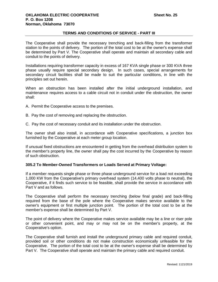The Cooperative shall provide the necessary trenching and back-filling from the transformer station to the points of delivery. The portion of the total cost to be at the owner's expense shall be determined by Part V. The Cooperative shall operate and maintain all secondary cable and conduit to the points of delivery.

Installations requiring transformer capacity in excess of 167 KVA single phase or 300 KVA three phase usually require special secondary design. In such cases, special arrangements for secondary circuit facilities shall be made to suit the particular conditions, in line with the principles set out herein.

When an obstruction has been installed after the initial underground installation, and maintenance requires access to a cable circuit not in conduit under the obstruction, the owner shall:

- A. Permit the Cooperative access to the premises.
- B. Pay the cost of removing and replacing the obstruction.
- C. Pay the cost of necessary conduit and its installation under the obstruction.

The owner shall also install, in accordance with Cooperative specifications, a junction box furnished by the Cooperative at each meter group location.

If unusual fixed obstructions are encountered in getting from the overhead distribution system to the member's property line, the owner shall pay the cost incurred by the Cooperative by reason of such obstruction.

#### <span id="page-30-0"></span>**305.2 To Member-Owned Transformers or Loads Served at Primary Voltage:**

If a member requests single phase or three phase underground service for a load not exceeding 1,000 KW from the Cooperative's primary overhead system (14,400 volts phase to neutral), the Cooperative, if it finds such service to be feasible, shall provide the service in accordance with Part V and as follows.

The Cooperative shall perform the necessary trenching (below final grade) and back-filling required from the base of the pole where the Cooperative makes service available to the owner's equipment or first multiple junction point. The portion of the total cost to be at the member's expense shall be determined by Part V.

The point of delivery where the Cooperative makes service available may be a line or riser pole or other convenient point, and may or may not be on the member's property, at the Cooperative's option.

The Cooperative shall furnish and install the underground primary cable and required conduit, provided soil or other conditions do not make construction economically unfeasible for the Cooperative. The portion of the total cost to be at the owner's expense shall be determined by Part V. The Cooperative shall operate and maintain the primary cable and required conduit.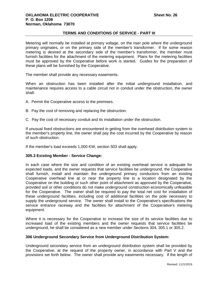Metering will normally be installed at primary voltage, on the riser pole where the underground primary originates, or on the primary side of the member's transformer. If for some reason metering is desired at the secondary side of the member's transformer, the member must furnish facilities for the attachment of the metering equipment. Plans for the metering facilities must be approved by the Cooperative before work is started. Guides for the preparation of these plans will be furnished by the Cooperative.

The member shall provide any necessary easements.

When an obstruction has been installed after the initial underground installation, and maintenance requires access to a cable circuit not in conduit under the obstruction, the owner shall:

- A. Permit the Cooperative access to the premises.
- B. Pay the cost of removing and replacing the obstruction.
- C. Pay the cost of necessary conduit and its installation under the obstruction.

If unusual fixed obstructions are encountered in getting from the overhead distribution system to the member's property line, the owner shall pay the cost incurred by the Cooperative by reason of such obstruction.

If the member's load exceeds 1,000 KW, section 503 shall apply.

## <span id="page-31-0"></span>**305.3 Existing Member - Service Change:**

In each case where the size and condition of an existing overhead service is adequate for expected loads, and the owner requests that service facilities be underground, the Cooperative shall furnish, install and maintain the underground primary conductors from an existing Cooperative overhead line at or near the property line to a location designated by the Cooperative on the building or such other point of attachment as approved by the Cooperative, provided soil or other conditions do not make underground construction economically unfeasible for the Cooperative. The owner shall be required to pay the total net cost for installation of these underground facilities, including cost of additional facilities on the pole necessary to supply the underground service. The owner shall install to the Cooperative's specifications the service entrance raceway and the facilities for attachment of the Cooperative's metering equipment.

Where it is necessary for the Cooperative to increase the size of its service facilities due to increased load of the existing members and the owner requests that service facilities be underground, he shall be considered as a new member under Sections 304, 305.1 or 305.2.

## <span id="page-31-1"></span>**306 Underground Secondary Service from Underground Distribution System:**

Underground secondary service from an underground distribution system shall be provided by the Cooperative, at the request of the property owner, in accordance with Part V and the provisions set forth below. The owner shall provide any easements necessary. If the length of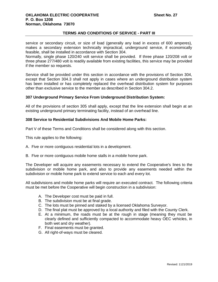service or secondary circuit, or size of load (generally any load in excess of 600 amperes), makes a secondary extension technically impractical, underground service, if economically feasible, shall be installed in accordance with Section 304.

Normally, single phase 120/240 volt service shall be provided. If three phase 120/208 volt or three phase 277/480 volt is readily available from existing facilities, this service may be provided if the member so requests.

Service shall be provided under this section in accordance with the provisions of Section 304, except that Section 304.3 shall not apply in cases where an underground distribution system has been installed or has completely replaced the overhead distribution system for purposes other than exclusive service to the member as described in Section 304.2.

## <span id="page-32-0"></span>**307 Underground Primary Service From Underground Distribution System:**

All of the provisions of section 305 shall apply, except that the line extension shall begin at an existing underground primary terminating facility, instead of an overhead line.

## <span id="page-32-1"></span>**308 Service to Residential Subdivisions And Mobile Home Parks:**

Part V of these Terms and Conditions shall be considered along with this section.

This rule applies to the following:

- A. Five or more contiguous residential lots in a development.
- B. Five or more contiguous mobile home stalls in a mobile home park.

The Developer will acquire any easements necessary to extend the Cooperative's lines to the subdivision or mobile home park, and also to provide any easements needed within the subdivision or mobile home park to extend service to each and every lot.

All subdivisions and mobile home parks will require an executed contract. The following criteria must be met before the Cooperative will begin construction in a subdivision:

- A. The Developer cost must be paid in full.
- B. The subdivision must be at final grade.
- C. The lots must be pinned and staked by a licensed Oklahoma Surveyor.
- D. The final plat must be approved by a local authority and filed with the County Clerk.
- E. At a minimum, the roads must be at the rough in stage (meaning they must be clearly defined and sufficiently compacted to accommodate heavy OEC vehicles, in both wet and dry weather).
- F. Final easements must be granted.
- G. All right-of-ways must be cleared.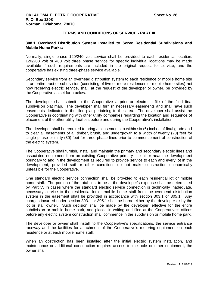## <span id="page-33-0"></span>**308.1 Overhead Distribution System Installed to Serve Residential Subdivisions and Mobile Home Parks:**

Normally, single phase 120/240 volt service shall be provided to each residential location. 120/208 volt or 480 volt three phase service for specific individual locations may be made available if such requirements are included in the original request for service, and the cooperative has existing three-phase service available.

Secondary service from an overhead distribution system to each residence or mobile home site in an entire tract or subdivision (consisting of five or more residences or mobile home sites) not now receiving electric service, shall, at the request of the developer or owner, be provided by the Cooperative as set forth below.

The developer shall submit to the Cooperative a print or electronic file of the filed final subdivision plat map. The developer shall furnish necessary easements and shall have such easements dedicated in the filed plat pertaining to the area. The developer shall assist the Cooperative in coordinating with other utility companies regarding the location and sequence of placement of the other utility facilities before and during the Cooperative's installation.

The developer shall be required to bring all easements to within six (6) inches of final grade and to clear all easements of all timber, brush, and undergrowth to a width of twenty (20) feet for single phase or thirty (30) feet for three phase lines prior to commencement of construction of the electric system.

The Cooperative shall furnish, install and maintain the primary and secondary electric lines and associated equipment from an existing Cooperative primary line at or near the development boundary to and in the development as required to provide service to each and every lot in the development, provided soil or other conditions do not make construction economically unfeasible for the Cooperative.

One standard electric service connection shall be provided to each residential lot or mobile home stall. The portion of the total cost to be at the developer's expense shall be determined by Part V. In cases where the standard electric service connection is technically inadequate, necessary service to the residential lot or mobile home stall from the overhead distribution system in the easement shall be provided in accordance with section 303.1 or 305.1. Any charges incurred under section 303.1 or 305.1 shall be borne either by the developer or by the lot or stall owner. Such decision shall be made by the developer, effective for the entire subdivision or mobile home park, and placed in writing and filed at the Cooperative's offices before any electric system construction shall commence in the subdivision or mobile home park.

The developer or owner shall install, to the Cooperative's specifications, the service entrance raceway and the facilities for attachment of the Cooperative's metering equipment on each residence or at each mobile home stall.

When an obstruction has been installed after the initial electric system installation, and maintenance or additional construction requires access to the pole or other equipment, the owner shall: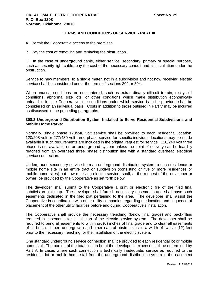- A. Permit the Cooperative access to the premises.
- B. Pay the cost of removing and replacing the obstruction.

C. In the case of underground cable, either service, secondary, primary or special purpose, such as security light cable, pay the cost of the necessary conduit and its installation under the obstruction.

Service to new members, to a single meter, not in a subdivision and not now receiving electric service shall be considered under the terms of sections 302 or 304.

When unusual conditions are encountered, such as extraordinarily difficult terrain, rocky soil conditions, abnormal size lots, or other conditions which make distribution economically unfeasible for the Cooperative, the conditions under which service is to be provided shall be considered on an individual basis. Costs in addition to those outlined in Part V may be incurred as discussed in the preceding paragraphs.

## <span id="page-34-0"></span>**308.2 Underground Distribution System Installed to Serve Residential Subdivisions and Mobile Home Parks:**

Normally, single phase 120/240 volt service shall be provided to each residential location. 120/208 volt or 277/480 volt three phase service for specific individual locations may be made available if such requirements are included in the original request for service. 120/240 volt three phase is not available on an underground system unless the point of delivery can be feasibly reached from an overhead three phase distribution line with a standard overhead electrical service connection.

Underground secondary service from an underground distribution system to each residence or mobile home site in an entire tract or subdivision (consisting of five or more residences or mobile home sites) not now receiving electric service, shall, at the request of the developer or owner, be provided by the Cooperative as set forth below.

The developer shall submit to the Cooperative a print or electronic file of the filed final subdivision plat map. The developer shall furnish necessary easements and shall have such easements dedicated in the filed plat pertaining to the area. The developer shall assist the Cooperative in coordinating with other utility companies regarding the location and sequence of placement of the other utility facilities before and during Cooperative's installation.

The Cooperative shall provide the necessary trenching (below final grade) and back-filling required in easements for installation of the electric service system. The developer shall be required to bring all easements to within six (6) inches of final grade and to clear all easements of all brush, timber, undergrowth and other natural obstructions to a width of twelve (12) feet prior to the necessary trenching for the installation of the electric system.

One standard underground service connection shall be provided to each residential lot or mobile home stall. The portion of the total cost to be at the developer's expense shall be determined by Part V. In cases where such connection is technically inadequate, service as required to the residential lot or mobile home stall from the underground distribution system in the easement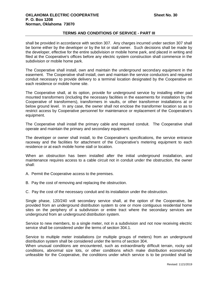shall be provided in accordance with section 307. Any charges incurred under section 307 shall be borne either by the developer or by the lot or stall owner. Such decisions shall be made by the developer, effective for the entire subdivision or mobile home park, and placed in writing and filed at the Cooperative's offices before any electric system construction shall commence in the subdivision or mobile home park.

The Cooperative shall install, own and maintain the underground secondary equipment in the easement. The Cooperative shall install, own and maintain the service conductors and required conduit necessary to provide delivery to a terminal location designated by the Cooperative on each residence or mobile home site.

The Cooperative shall, at its option, provide for underground service by installing either pad mounted transformers (including the necessary facilities in the easements for installation by the Cooperative of transformers), transformers in vaults, or other transformer installations at or below ground level. In any case, the owner shall not enclose the transformer location so as to restrict access by Cooperative personnel for maintenance or replacement of the Cooperative's equipment.

The Cooperative shall install the primary cable and required conduit. The Cooperative shall operate and maintain the primary and secondary equipment.

The developer or owner shall install, to the Cooperative's specifications, the service entrance raceway and the facilities for attachment of the Cooperative's metering equipment to each residence or at each mobile home stall or location.

When an obstruction has been installed after the initial underground installation, and maintenance requires access to a cable circuit not in conduit under the obstruction, the owner shall:

- A. Permit the Cooperative access to the premises.
- B. Pay the cost of removing and replacing the obstruction.

C. Pay the cost of the necessary conduit and its installation under the obstruction.

Single phase, 120/240 volt secondary service shall, at the option of the Cooperative, be provided from an underground distribution system to one or more contiguous residential home sites on the periphery of a subdivision or entire tract where the secondary services are underground from an underground distribution system.

Service to new members, to a single meter, not in a subdivision and not now receiving electric service shall be considered under the terms of section 304.1.

Service to multiple meter installations (or multiple groups of meters) from an underground distribution system shall be considered under the terms of section 304.

When unusual conditions are encountered, such as extraordinarily difficult terrain, rocky soil conditions, abnormal size lots, or other conditions which make distribution economically unfeasible for the Cooperative, the conditions under which service is to be provided shall be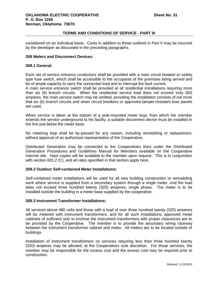considered on an individual basis. Costs in addition to those outlined in Part V may be incurred by the developer as discussed in the preceding paragraphs.

# **309 Meters and Disconnect Devices:**

## **309.1 General:**

Each set of service entrance conductors shall be provided with a main circuit breaker or safety type fuse switch, which shall be accessible to the occupants of the premises being served and be of ample capacity to carry the connected load and to interrupt the fault current.

A main service entrance switch shall be provided at all residential installations requiring more than six (6) branch circuits. When the residential service load does not exceed sixty (60) amperes, the main service switch may be omitted, providing the installation consists of not more that six (6) branch circuits and when circuit breakers or approved tamper-resistant fuse panels are used.

When service is taken at the bottom of a pole-mounted meter loop, from which the member extends the service underground to his facility, a suitable disconnect device must be installed in the line just below the meter base.

No metering loop shall be by-passed for any reason, including remodeling or replacement, without approval of an authorized representative of the Cooperative.

Distributed Generation may be connected to the Cooperatives lines under the Distributed Generation Procedures and Guidelines Manual for Members available on the Cooperative internet site. Hard copies will be available to the member upon request. This is in conjunction with section 601.2 (C), and all rates specified in that section apply here.

# **309.2 Outdoor Self-contained Meter Installations:**

Self-contained meter installations will be used for all new building construction or remodeling work where service is supplied from a secondary system through a single meter, and the load does not exceed three hundred twenty (320) amperes, single phase. The meter is to be installed outside the building in a meter base supplied by the cooperative.

### **309.3 Instrument Transformer Installations:**

All services above 480 volts and those with a load of over three hundred twenty (320) amperes will be metered with instrument transformers, and for all such installations, approved metal cabinets of sufficient size to enclose the instrument transformers with proper clearances are to be provided by the Cooperative. The member is to provide the secondary wiring raceway between the instrument transformer cabinet and meter. All meters are to be located outside of buildings.

Installation of instrument transformers on services requiring less than three hundred twenty (320) amperes may be allowed, at the Cooperatives sole discretion. For those services, the member may be responsible for the excess cost and the excess cost may be required prior to construction.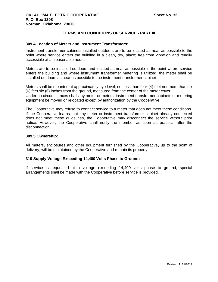### **309.4 Location of Meters and Instrument Transformers:**

Instrument transformer cabinets installed outdoors are to be located as near as possible to the point where service enters the building in a clean, dry, place; free from vibration and readily accessible at all reasonable hours.

Meters are to be installed outdoors and located as near as possible to the point where service enters the building and where instrument transformer metering is utilized, the meter shall be installed outdoors as near as possible to the instrument transformer cabinet.

Meters shall be mounted at approximately eye level; not less than four (4) feet nor more than six (6) feet six (6) inches from the ground, measured from the center of the meter cover. Under no circumstances shall any meter or meters, instrument transformer cabinets or metering equipment be moved or relocated except by authorization by the Cooperative.

The Cooperative may refuse to connect service to a meter that does not meet these conditions. If the Cooperative learns that any meter or instrument transformer cabinet already connected does not meet these guidelines, the Cooperative may disconnect the service without prior notice. However, the Cooperative shall notify the member as soon as practical after the disconnection.

### **309.5 Ownership:**

All meters, enclosures and other equipment furnished by the Cooperative, up to the point of delivery, will be maintained by the Cooperative and remain its property.

### **310 Supply Voltage Exceeding 14,400 Volts Phase to Ground:**

If service is requested at a voltage exceeding 14,400 volts phase to ground, special arrangements shall be made with the Cooperative before service is provided.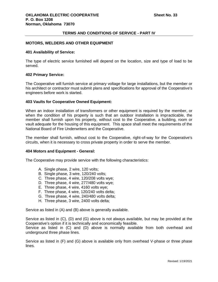# **MOTORS, WELDERS AND OTHER EQUIPMENT**

### **401 Availability of Service:**

The type of electric service furnished will depend on the location, size and type of load to be served.

#### **402 Primary Service:**

The Cooperative will furnish service at primary voltage for large installations, but the member or his architect or contractor must submit plans and specifications for approval of the Cooperative's engineers before work is started.

### **403 Vaults for Cooperative Owned Equipment:**

When an indoor installation of transformers or other equipment is required by the member, or when the condition of his property is such that an outdoor installation is impracticable, the member shall furnish upon his property, without cost to the Cooperative, a building, room or vault adequate for the housing of this equipment. This space shall meet the requirements of the National Board of Fire Underwriters and the Cooperative.

The member shall furnish, without cost to the Cooperative, right-of-way for the Cooperative's circuits, when it is necessary to cross private property in order to serve the member.

#### **404 Motors and Equipment - General:**

The Cooperative may provide service with the following characteristics:

- A. Single phase, 2 wire, 120 volts;
- B. Single phase, 3 wire, 120/240 volts;
- C. Three phase, 4 wire, 120/208 volts wye;
- D. Three phase, 4 wire, 277/480 volts wye;
- E. Three phase, 4 wire, 4160 volts wye;
- F. Three phase, 4 wire, 120/240 volts delta;
- G. Three phase, 4 wire, 240/480 volts delta;
- H. Three phase, 3 wire, 2400 volts delta;

Service as listed in (A) and (B) above is generally available.

Service as listed in (C), (D) and (G) above is not always available, but may be provided at the Cooperative's option if it is technically and economically feasible.

Service as listed in (C) and (D) above is normally available from both overhead and underground three phase lines.

Service as listed in (F) and (G) above is available only from overhead V-phase or three phase lines.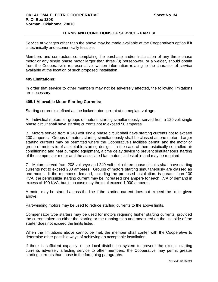Service at voltages other than the above may be made available at the Cooperative's option if it is technically and economically feasible.

Members and contractors contemplating the purchase and/or installation of any three phase motor or any single phase motor larger than three (3) horsepower, or a welder, should obtain from the Cooperative's representative, written information relating to the character of service available at the location of such proposed installation.

# **405 Limitations:**

In order that service to other members may not be adversely affected, the following limitations are necessary.

# **405.1 Allowable Motor Starting Currents:**

Starting current is defined as the locked rotor current at nameplate voltage.

A. Individual motors, or groups of motors, starting simultaneously, served from a 120 volt single phase circuit shall have starting currents not to exceed 50 amperes.

B. Motors served from a 240 volt single phase circuit shall have starting currents not to exceed 200 amperes. Groups of motors starting simultaneously shall be classed as one motor. Larger starting currents may be permitted where the Cooperative's facilities permit; and the motor or group of motors is of acceptable starting design. In the case of thermostatically controlled air conditioning and heat pumping equipment, a time delay device to prevent simultaneous starting of the compressor motor and the associated fan motors is desirable and may be required.

C. Motors served from 208 volt wye and 240 volt delta three phase circuits shall have starting currents not to exceed 200 amperes. Groups of motors starting simultaneously are classed as one motor. If the member's demand, including the proposed installation, is greater than 100 KVA, the permissible starting current may be increased one ampere for each KVA of demand in excess of 100 KVA, but in no case may the total exceed 1,000 amperes.

A motor may be started across-the-line if the starting current does not exceed the limits given above.

Part-winding motors may be used to reduce starting currents to the above limits.

Compensator type starters may be used for motors requiring higher starting currents, provided the current taken on either the starting or the running step and measured on the line side of the starter does not exceed the limits listed.

When the limitations above cannot be met, the member shall confer with the Cooperative to determine other possible ways of achieving an acceptable installation.

If there is sufficient capacity in the local distribution system to prevent the excess starting currents adversely affecting service to other members, the Cooperative may permit greater starting currents than those in the foregoing paragraphs.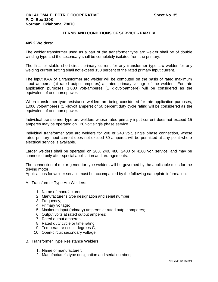### **405.2 Welders:**

The welder transformer used as a part of the transformer type arc welder shall be of double winding type and the secondary shall be completely isolated from the primary.

The final or stable short-circuit primary current for any transformer type arc welder for any welding current setting shall not exceed 150 percent of the rated primary input current.

The input KVA of a transformer arc welder will be computed on the basis of rated maximum input amperes (at rated output amperes) at rated primary voltage of the welder. For rate application purposes, 1,000 volt-amperes (1 kilovolt-ampere) will be considered as the equivalent of one horsepower.

When transformer type resistance welders are being considered for rate application purposes, 1,000 volt-amperes (1 kilovolt ampere) of 50 percent duty cycle rating will be considered as the equivalent of one horsepower.

Individual transformer type arc welders whose rated primary input current does not exceed 15 amperes may be operated on 120 volt single phase service.

Individual transformer type arc welders for 208 or 240 volt, single phase connection, whose rated primary input current does not exceed 30 amperes will be permitted at any point where electrical service is available.

Larger welders shall be operated on 208, 240, 480, 2400 or 4160 volt service, and may be connected only after special application and arrangements.

The connection of motor-generator type welders will be governed by the applicable rules for the driving motor.

Applications for welder service must be accompanied by the following nameplate information:

- A. Transformer Type Arc Welders:
	- 1. Name of manufacturer;
	- 2. Manufacturer's type designation and serial number;
	- 3. Frequency;
	- 4. Primary voltage;
	- 5. Maximum input (primary) amperes at rated output amperes;
	- 6. Output volts at rated output amperes;
	- 7. Rated output amperes;
	- 8. Rated duty cycle or time rating;
	- 9. Temperature rise in degrees C;
	- 10. Open-circuit secondary voltage;
- B. Transformer Type Resistance Welders:
	- 1. Name of manufacturer;
	- 2. Manufacturer's type designation and serial number;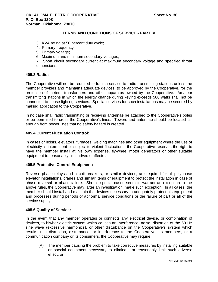- 3. KVA rating at 50 percent duty cycle;
- 4. Primary frequency;
- 5. Primary voltage;
- 6. Maximum and minimum secondary voltages;

7. Short circuit secondary current at maximum secondary voltage and specified throat dimensions.

# **405.3 Radio:**

The Cooperative will not be required to furnish service to radio transmitting stations unless the member provides and maintains adequate devices, to be approved by the Cooperative, for the protection of meters, transformers and other apparatus owned by the Cooperative. Amateur transmitting stations in which the energy change during keying exceeds 500 watts shall not be connected to house lighting services. Special services for such installations may be secured by making application to the Cooperative.

In no case shall radio transmitting or receiving antennae be attached to the Cooperative's poles or be permitted to cross the Cooperative's lines. Towers and antennae should be located far enough from power lines that no safety hazard is created.

# **405.4 Current Fluctuation Control:**

In cases of hoists, elevators, furnaces, welding machines and other equipment where the use of electricity is intermittent or subject to violent fluctuations, the Cooperative reserves the right to have the member install at his own expense, fly-wheel motor generators or other suitable equipment to reasonably limit adverse affects .

### **405.5 Protective Control Equipment:**

Reverse phase relays and circuit breakers, or similar devices, are required for all polyphase elevator installations, cranes and similar items of equipment to protect the installation in case of phase reversal or phase failure. Should special cases seem to warrant an exception to the above rules, the Cooperative may, after an investigation, make such exception. In all cases, the member should install and maintain the devices necessary to adequately protect his equipment and processes during periods of abnormal service conditions or the failure of part or all of the service supply.

#### **405.6 Quality of Service:**

In the event that any member operates or connects any electrical device, or combination of devices, to his/her electric system which causes an interference, noise, distortion of the 60 Hz sine wave (excessive harmonics), or other disturbance on the Cooperative's system which results in a disruption, disturbance, or interference to the Cooperative, its members, or a communication company or its consumers, the Cooperative may require:

(A) The member causing the problem to take corrective measures by installing suitable or special equipment necessary to eliminate or reasonably limit such adverse effect, or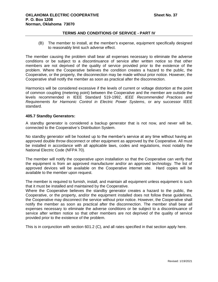(B) The member to install, at the member's expense, equipment specifically designed to reasonably limit such adverse effect.

The member causing the problem shall bear all expenses necessary to eliminate the adverse conditions or be subject to a discontinuance of service after written notice so that other members are not deprived of the quality of service provided prior to the existence of the problem. Where the Cooperative believes the condition creates a hazard to the public, the Cooperative, or the property, the disconnection may be made without prior notice. However, the Cooperative shall notify the member as soon as practical after the disconnection.

Harmonics will be considered excessive if the levels of current or voltage distortion at the point of common coupling (metering point) between the Cooperative and the member are outside the levels recommended in IEEE Standard 519-1992, *IEEE Recommended Practices and Requirements for Harmonic Control in Electric Power Systems*, or any successor IEEE standard.

# **405.7 Standby Generators:**

A standby generator is considered a backup generator that is not now, and never will be, connected to the Cooperative's Distribution System.

No standby generator will be hooked up to the member's service at any time without having an approved double throw disconnect or other equipment as approved by the Cooperative. All must be installed in accordance with all applicable laws, codes and regulations, most notably the National Electric Code (NFPA 70).

The member will notify the cooperative upon installation so that the Cooperative can verify that the equipment is from an approved manufacturer and/or an approved technology. The list of approved devices will be available on the Cooperative internet site. Hard copies will be available to the member upon request.

The member is required to furnish, install, and maintain all equipment unless equipment is such that it must be installed and maintained by the Cooperative.

Where the Cooperative believes the standby generator creates a hazard to the public, the Cooperative, or the property, and/or the equipment installed does not follow these guidelines, the Cooperative may disconnect the service without prior notice. However, the Cooperative shall notify the member as soon as practical after the disconnection. The member shall bear all expenses necessary to eliminate the adverse conditions or be subject to a discontinuance of service after written notice so that other members are not deprived of the quality of service provided prior to the existence of the problem.

This is in conjunction with section 601.2 (C), and all rates specified in that section apply here.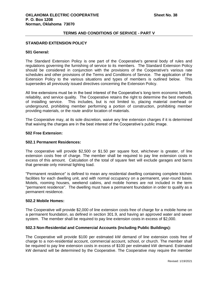# **STANDARD EXTENSION POLICY**

### **501 General:**

The Standard Extension Policy is one part of the Cooperative's general body of rules and regulations governing the furnishing of service to its members. The Standard Extension Policy should be considered in conjunction with the provisions of the Cooperative's various rate schedules and other provisions of the Terms and Conditions of Service. The application of the Extension Policy to the various situations and types of members is outlined below. This supersedes all previously issued directives concerning the Extension Policy.

All line extensions must be in the best interest of the Cooperative's long-term economic benefit, reliability, and service quality. The Cooperative retains the right to determine the best methods of installing service. This includes, but is not limited to, placing material overhead or underground, prohibiting member performing a portion of construction, prohibiting member providing materials, or the route and/or location of materials.

The Cooperative may, at its sole discretion, waive any line extension charges if it is determined that waiving the charges are in the best interest of the Cooperative's public image.

### **502 Free Extension:**

# **502.1 Permanent Residences:**

The cooperative will provide \$2,500 or \$1.50 per square foot, whichever is greater, of line extension costs free of charge. The member shall be required to pay line extension costs in excess of this amount. Calculation of the total of square feet will exclude garages and barns that generate only minimal lighting load.

"Permanent residence" is defined to mean any residential dwelling containing complete kitchen facilities for each dwelling unit, and with normal occupancy on a permanent, year-round basis. Motels, rooming houses, weekend cabins, and mobile homes are not included in the term "permanent residence". The dwelling must have a permanent foundation in order to qualify as a permanent residence.

### **502.2 Mobile Homes:**

The Cooperative will provide \$2,000 of line extension costs free of charge for a mobile home on a permanent foundation, as defined in section 301.9, and having an approved water and sewer system. The member shall be required to pay line extension costs in excess of \$2,000.

### **502.3 Non-Residential and Commercial Accounts (Including Public Buildings):**

The Cooperative will provide \$100 per estimated kW demand of line extension costs free of charge to a non-residential account, commercial account, school, or church. The member shall be required to pay line extension costs in excess of \$100 per estimated kW demand. Estimated kW demand will be determined by the Cooperative. The Cooperative may require the member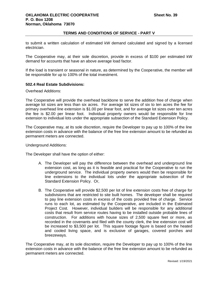to submit a written calculation of estimated kW demand calculated and signed by a licensed electrician.

The Cooperative may, at their sole discretion, provide in excess of \$100 per estimated kW demand for accounts that have an above average load factor.

If the load is transient or seasonal in nature, as determined by the Cooperative, the member will be responsible for up to 100% of the total investment.

# **502.4 Real Estate Subdivisions:**

Overhead Additions:

The Cooperative will provide the overhead backbone to serve the addition free of charge when average lot sizes are less than six acres. For average lot sizes of six to ten acres the fee for primary overhead line extension is \$1.00 per linear foot, and for average lot sizes over ten acres the fee is \$2.00 per linear foot. Individual property owners would be responsible for line extension to individual lots under the appropriate subsection of the Standard Extension Policy.

The Cooperative may, at its sole discretion, require the Developer to pay up to 100% of the line extension costs in advance with the balance of the free line extension amount to be refunded as permanent meters are connected.

Underground Additions:

The Developer shall have the option of either:

- A. The Developer will pay the difference between the overhead and underground line extension cost, as long as it is feasible and practical for the Cooperative to run the underground service. The individual property owners would then be responsible for line extensions to the individual lots under the appropriate subsection of the Standard Extension Policy. Or,
- B. The Cooperative will provide \$2,500 per lot of line extension costs free of charge for subdivisions that are restricted to site built homes. The developer shall be required to pay line extension costs in excess of the costs provided free of charge. Service runs to each lot, as estimated by the Cooperative, are included in the Estimated Project Cost. However, individual builders will be responsible for any additional costs that result from service routes having to be installed outside probable lines of construction. For additions with house sizes of 2,500 square feet or more, as recorded in the covenants and filed with the county clerk, the line extension cost will be increased to \$3,500 per lot. This square footage figure is based on the heated and cooled living space, and is exclusive of garages, covered porches and breezeways.

The Cooperative may, at its sole discretion, require the Developer to pay up to 100% of the line extension costs in advance with the balance of the free line extension amount to be refunded as permanent meters are connected.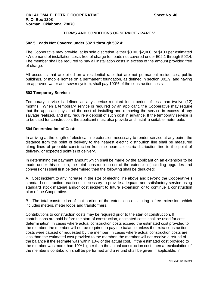### **502.5 Loads Not Covered under 502.1 through 502.4:**

The Cooperative may provide, at its sole discretion, either \$0.00, \$2,000, or \$100 per estimated kW demand of installation costs free of charge for loads not covered under 502.1 through 502.4. The member shall be required to pay all installation costs in excess of the amount provided free of charge.

All accounts that are billed on a residential rate that are not permanent residences, public buildings, or mobile homes on a permanent foundation, as defined in section 301.9, and having an approved water and sewer system, shall pay 100% of the construction costs.

## **503 Temporary Service:**

Temporary service is defined as any service required for a period of less than twelve (12) months. When a temporary service is required by an applicant, the Cooperative may require that the applicant pay all of the cost of installing and removing the service in excess of any salvage realized, and may require a deposit of such cost in advance. If the temporary service is to be used for construction, the applicant must also provide and install a suitable meter pole.

# **504 Determination of Cost:**

In arriving at the length of electrical line extension necessary to render service at any point, the distance from the point of delivery to the nearest electric distribution line shall be measured along lines of probable construction from the nearest electric distribution line to the point of delivery, or expected point(s) of delivery.

In determining the payment amount which shall be made by the applicant on an extension to be made under this section, the total construction cost of the extension (including upgrades and conversions) shall first be determined then the following shall be deducted:

A. Cost incident to any increase in the size of electric line above and beyond the Cooperative's standard construction practices necessary to provide adequate and satisfactory service using standard stock material and/or cost incident to future expansion or to continue a construction plan of the Cooperative.

B. The total construction of that portion of the extension constituting a free extension, which includes meters, meter loops and transformers.

Contributions to construction costs may be required prior to the start of construction. If contributions are paid before the start of construction, estimated costs shall be used for cost determination. In cases where actual construction costs exceed the estimated cost provided to the member, the member will not be required to pay the balance unless the extra construction costs were caused or requested by the member. In cases where actual construction costs are less than the estimated cost provided to the member, the member will not receive a refund of the balance if the estimate was within 10% of the actual cost. If the estimated cost provided to the member was more than 10% higher than the actual construction cost, then a recalculation of the member's contribution shall be performed and a refund shall be given, if applicable. In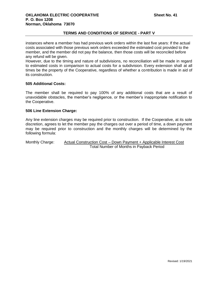instances where a member has had previous work orders within the last five years: If the actual costs associated with those previous work orders exceeded the estimated cost provided to the member, and the member did not pay the balance, then those costs will be reconciled before any refund will be given.

However, due to the timing and nature of subdivisions, no reconciliation will be made in regard to estimated costs in comparison to actual costs for a subdivision. Every extension shall at all times be the property of the Cooperative, regardless of whether a contribution is made in aid of its construction.

# **505 Additional Costs:**

The member shall be required to pay 100% of any additional costs that are a result of unavoidable obstacles, the member's negligence, or the member's inappropriate notification to the Cooperative.

# **506 Line Extension Charge:**

Any line extension charges may be required prior to construction. If the Cooperative, at its sole discretion, agrees to let the member pay the charges out over a period of time, a down payment may be required prior to construction and the monthly charges will be determined by the following formula:

Monthly Charge: Actual Construction Cost – Down Payment + Applicable Interest Cost Total Number of Months in Payback Period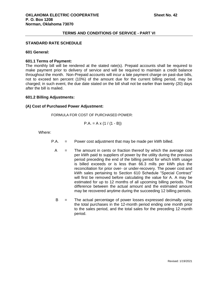### **STANDARD RATE SCHEDULE**

### **601 General:**

## **601.1 Terms of Payment:**

The monthly bill will be rendered at the stated rate(s). Prepaid accounts shall be required to make payment prior to delivery of service and will be required to maintain a credit balance throughout the month. Non-Prepaid accounts will incur a late payment charge on past-due bills, not to exceed ten percent (10%) of the amount due for the current billing period, may be charged; in such event, the due date stated on the bill shall not be earlier than twenty (20) days after the bill is mailed.

### **601.2 Billing Adjustments:**

## **(A) Cost of Purchased Power Adjustment:**

FORMULA FOR COST OF PURCHASED POWER:

$$
P.A. = A \times (1 / (1 - B))
$$

Where:

- P.A. = Power cost adjustment that may be made per kWh billed.
	- $A =$  The amount in cents or fraction thereof by which the average cost per kWh paid to suppliers of power by the utility during the previous period preceding the end of the billing period for which kWh usage is billed exceeds or is less than 66.3 mills per kWh plus the reconciliation for prior over- or under-recovery. The power cost and kWh sales pertaining to Section 610 Schedule "Special Contract" will first be removed before calculating the value for A. A may be estimated for up to 12 months of all upcoming billing periods. The difference between the actual amount and the estimated amount may be recovered anytime during the succeeding 12 billing periods.
	- B = The actual percentage of power losses expressed decimally using the total purchases in the 12-month period ending one month prior to the sales period, and the total sales for the preceding 12-month period.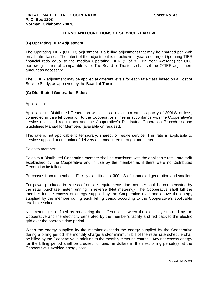# **(B) Operating TIER Adjustment:**

The Operating TIER (OTIER) adjustment is a billing adjustment that may be charged per kWh on all rate classes. The intent of the adjustment is to achieve a year-end target Operating TIER financial ratio equal to the median Operating TIER (2 of 3 High Year Average) for CFC borrowing utilities of comparable size. The Board of Trustees shall set the OTIER adjustment amount as necessary.

The OTIER adjustment may be applied at different levels for each rate class based on a Cost of Service Study, as approved by the Board of Trustees.

# **(C) Distributed Generation Rider:**

## Application:

Applicable to Distributed Generation which has a maximum rated capacity of 300kW or less, connected in parallel operation to the Cooperative's lines in accordance with the Cooperative's service rules and regulations and the Cooperative's Distributed Generation Procedures and Guidelines Manual for Members (available on request).

This rate is not applicable to temporary, shared, or resale service. This rate is applicable to service supplied at one point of delivery and measured through one meter.

#### Sales to member:

Sales to a Distributed Generation member shall be consistent with the applicable retail rate tariff established by the Cooperative and in use by the member as if there were no Distributed Generation installation.

### Purchases from a member – Facility classified as 300 kW of connected generation and smaller:

For power produced in excess of on-site requirements, the member shall be compensated by the retail purchase meter running in reverse (Net metering). The Cooperative shall bill the member for the excess of energy supplied by the Cooperative over and above the energy supplied by the member during each billing period according to the Cooperative's applicable retail rate schedule.

Net metering is defined as measuring the difference between the electricity supplied by the Cooperative and the electricity generated by the member's facility and fed back to the electric grid over the operable time period.

When the energy supplied by the member exceeds the energy supplied by the Cooperative during a billing period, the monthly charge and/or minimum bill of the retail rate schedule shall be billed by the Cooperative in addition to the monthly metering charge. Any net excess energy for the billing period shall be credited, or paid, in dollars in the next billing period(s), at the Cooperative's avoided energy cost.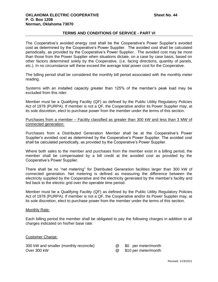The Cooperative's avoided energy cost shall be the Cooperative's Power Supplier's avoided cost as determined by the Cooperative's Power Supplier. The avoided cost shall be calculated periodically, as provided by the Cooperative's Power Supplier. The avoided cost may be more than those from the Power Supplier when situations dictate, on a case by case basis, based on other factors determined solely by the Cooperative, (i.e. facing directions, quantity of panels, etc.). In no circumstance will these exceed the average total power cost for the Cooperative.

The billing period shall be considered the monthly bill period associated with the monthly meter reading.

Systems with an installed capacity greater than 125% of the member's peak load may be excluded from this rider.

Member must be a Qualifying Facility (QF) as defined by the Public Utility Regulatory Policies Act of 1978 (PURPA). If member is not a QF, the Cooperative and/or its Power Supplier may, at its sole discretion, elect to purchase power from the member under the terms of this section.

Purchases from a member – Facility classified as greater than 300 kW and less than 3 MW of connected generation:

Purchases from a Distributed Generation Member shall be at the Cooperative's Power Supplier's avoided cost as determined by the Cooperative's Power Supplier. The avoided cost shall be calculated periodically, as provided by the Cooperative's Power Supplier.

Where both sales to the member and purchases from the member exist in a billing period, the member shall be compensated by a bill credit at the avoided cost as provided by the Cooperative's Power Supplier.

There shall be no "net metering" for Distributed Generation facilities larger than 300 kW of connected generation. Net metering is defined as measuring the difference between the electricity supplied by the Cooperative and the electricity generated by the member's facility and fed back to the electric grid over the operable time period.

Member must be a Qualifying Facility (QF) as defined by the Public Utility Regulatory Policies Act of 1978 (PURPA). If member is not a QF, the Cooperative and/or its Power Supplier may, at its sole discretion, elect to purchase power from the member under the terms of this section.

### Monthly Rate:

Each billing period the member shall be obligated to pay the following charges in addition to all charges indicated on his/her base rate:

### Customer Charge:

| 300 kW and smaller (monthly reconcile) |
|----------------------------------------|
| Over 300 kW                            |

- $\omega$  \$0 per meter/month
- Over 300 kW @ \$10 per meter/month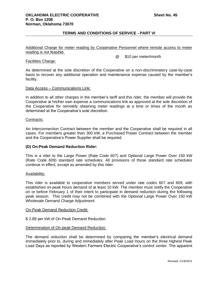Additional Charge for meter reading by Cooperative Personnel where remote access to meter reading is not feasible.

## @ \$10 per meter/month

# Facilities Charge:

As determined at the sole discretion of the Cooperative on a non-discriminatory case-by-case basis to recover any additional operation and maintenance expense caused by the member's facility.

# Data Access – Communications Link:

In addition to all other charges in the member's tariff and this rider, the member will provide the Cooperative at his/her own expense a communications link as approved at the sole discretion of the Cooperative for remotely obtaining meter readings at a time or times of the month as determined at the Cooperative's sole discretion.

# Contracts:

An Interconnection Contract between the member and the Cooperative shall be required in all cases. For members greater than 300 kW, a Purchased Power Contract between the member and the Cooperative's Power Supplier shall be required.

# **(D) On-Peak Demand Reduction Rider:**

This is a rider to the Large Power (Rate Code 607) and Optional Large Power Over 150 kW (Rate Code 609) standard rate schedules. All provisions of those standard rate schedules continue in effect, except as amended by this rider.

### Availability:

This rider is available to cooperative members served under rate codes 607 and 609, with established on-peak hours demand of at least 10 kW. The member must notify the Cooperative on or before February 1 of their intent to participate in demand reduction during the following peak season. This credit may not be combined with the Optional Large Power Over 150 kW Wholesale Demand Charge Adjustment.

### On-Peak Demand Reduction Credit:

# \$ 2.89 per kW of On-Peak Demand Reduction

### Determination of On-peak Demand Reduction:

The demand reduction shall be determined by comparing the member's electrical demand immediately prior to, during and immediately after Peak Load Hours on the three highest Peak Load Days as reported by Western Farmers Electric Cooperative's control center. The apparent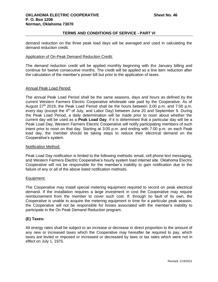demand reduction on the three peak load days will be averaged and used in calculating the demand reduction credit.

### Application of On-Peak Demand Reduction Credit:

The demand reduction credit will be applied monthly beginning with the January billing and continue for twelve consecutive months. The credit will be applied as a line item reduction after the calculation of the member's power bill but prior to the application of taxes.

### Annual Peak Load Period:

The annual Peak Load Period shall be the same seasons, days and hours as defined by the current Western Farmers Electric Cooperative wholesale rate paid by the Cooperative. As of August  $27<sup>th</sup>$  2019, the Peak Load Period shall be the hours between 3:00 p.m. and 7:00 p.m. every day (except the  $4<sup>th</sup>$  of July, and Labor Day) between June 20 and September 9. During the Peak Load Period, a daily determination will be made prior to noon about whether the current day will be used as a **Peak Load Day**. If it is determined that a particular day will be a Peak Load Day, Western Farmers Electric Cooperative will notify participating members of such intent prior to noon on that day. Starting at 3:00 p.m. and ending with 7:00 p.m. on each Peak load day, the member should be taking steps to reduce their electrical demand on the Cooperative's system.

### Notification Method:

Peak Load Day notification is limited to the following methods: email, cell phone text messaging, and Western Farmers Electric Cooperative's hourly system load internet site. Oklahoma Electric Cooperative will not be responsible for the member's inability to gain notification due to the failure of any or all of the above listed notification methods.

### Equipment:

The Cooperative may install special metering equipment required to record on peak electrical demand. If the installation requires a large investment in cost the Cooperative may require reimbursement from the member to cover such cost. If, through no fault of its own, the Cooperative is unable to acquire the metering equipment in time for a particular peak season, the Cooperative will not be responsible for losses associated with the member's inability to participate in the On Peak Demand Reduction program.

# **(E) Taxes:**

All energy rates shall be subject to an increase or decrease in direct proportion to the amount of any new or increased taxes which the Cooperative may hereafter be required to pay, which taxes are levied or imposed or increased or decreased by laws or tax rates which were not in effect on July 1, 1975.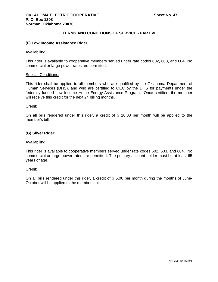## **(F) Low Income Assistance Rider:**

### Availability:

This rider is available to cooperative members served under rate codes 602, 603, and 604. No commercial or large power rates are permitted.

#### Special Conditions:

This rider shall be applied to all members who are qualified by the Oklahoma Department of Human Services (DHS), and who are certified to OEC by the DHS for payments under the federally funded Low Income Home Energy Assistance Program. Once certified, the member will receive this credit for the next 24 billing months.

#### Credit:

On all bills rendered under this rider, a credit of \$ 10.00 per month will be applied to the member's bill.

# **(G) Silver Rider:**

### Availability:

This rider is available to cooperative members served under rate codes 602, 603, and 604. No commercial or large power rates are permitted. The primary account holder must be at least 65 years of age.

### Credit:

On all bills rendered under this rider, a credit of \$ 5.00 per month during the months of June-October will be applied to the member's bill.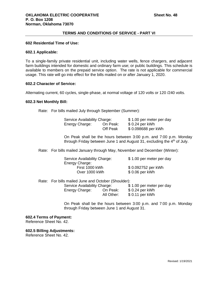#### **602 Residential Time of Use:**

### **602.1 Applicable:**

To a single-family private residential unit, including water wells, fence chargers, and adjacent farm buildings intended for domestic and ordinary farm use; or public buildings. This schedule is available to members on the prepaid service option. The rate is not applicable for commercial usage. This rate will go into effect for the bills mailed on or after January 1, 2020.

### **602.2 Character of Service:**

Alternating current, 60 cycles, single-phase, at normal voltage of 120 volts or 120 /240 volts.

### **602.3 Net Monthly Bill:**

Rate: For bills mailed July through September (Summer):

| Service Availability Charge: |          | \$1.00 per meter per day |
|------------------------------|----------|--------------------------|
| Energy Charge:               | On Peak: | \$ 0.24 per kWh          |
|                              | Off Peak | \$0.098688 per kWh       |

On Peak shall be the hours between 3:00 p.m. and 7:00 p.m. Monday through Friday between June 1 and August 31, excluding the  $4<sup>th</sup>$  of July.

Rate: For bills mailed January through May, November and December (Winter):

| Service Availability Charge: | \$1.00 per meter per day |
|------------------------------|--------------------------|
| Energy Charge:               |                          |
| First 1000 kWh               | \$0.092752 per kWh       |
| Over 1000 kWh                | \$ 0.06 per kWh          |

Rate: For bills mailed June and October (Shoulder):

| Service Availability Charge: |                        | \$1.00 per meter per day           |
|------------------------------|------------------------|------------------------------------|
| Energy Charge:               | On Peak:<br>All Other: | \$ 0.24 per kWh<br>\$ 0.11 per kWh |
|                              |                        |                                    |

On Peak shall be the hours between 3:00 p.m. and 7:00 p.m. Monday through Friday between June 1 and August 31.

#### **602.4 Terms of Payment:**

Reference Sheet No. 42.

**602.5 Billing Adjustments:** Reference Sheet No. 42.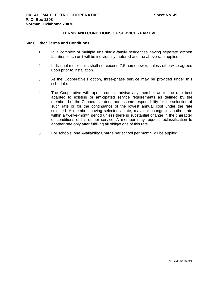## **602.6 Other Terms and Conditions:**

- 1. In a complex of multiple unit single-family residences having separate kitchen facilities, each unit will be individually metered and the above rate applied.
- 2. Individual motor units shall not exceed 7.5 horsepower, unless otherwise agreed upon prior to installation.
- 3. At the Cooperative's option, three-phase service may be provided under this schedule.
- 4. The Cooperative will, upon request, advise any member as to the rate best adapted to existing or anticipated service requirements as defined by the member, but the Cooperative does not assume responsibility for the selection of such rate or for the continuance of the lowest annual cost under the rate selected. A member, having selected a rate, may not change to another rate within a twelve-month period unless there is substantial change in the character or conditions of his or her service. A member may request reclassification to another rate only after fulfilling all obligations of this rate.
- 5. For schools, one Availability Charge per school per month will be applied.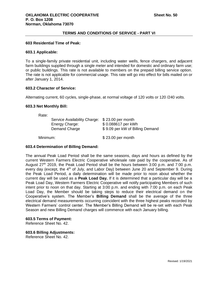### **603 Residential Time of Peak:**

### **603.1 Applicable:**

To a single-family private residential unit, including water wells, fence chargers, and adjacent farm buildings supplied through a single meter and intended for domestic and ordinary farm use; or public buildings. This rate is not available to members on the prepaid billing service option. The rate is not applicable for commercial usage. This rate will go into effect for bills mailed on or after January 1, 2014.

# **603.2 Character of Service:**

Alternating current, 60 cycles, single-phase, at normal voltage of 120 volts or 120 /240 volts.

#### **603.3 Net Monthly Bill:**

Rate:

| Service Availability Charge: \$23.00 per month<br>\$0.088617 per kWh<br>\$9.09 per kW of Billing Demand |
|---------------------------------------------------------------------------------------------------------|
|                                                                                                         |

Minimum: \$23.00 per month

# **603.4 Determination of Billing Demand:**

The annual Peak Load Period shall be the same seasons, days and hours as defined by the current Western Farmers Electric Cooperative wholesale rate paid by the cooperative. As of August  $27<sup>th</sup>$  2019, the Peak Load Period shall be the hours between 3:00 p.m. and 7:00 p.m. every day (except, the  $4<sup>th</sup>$  of July, and Labor Day) between June 20 and September 9. During the Peak Load Period, a daily determination will be made prior to noon about whether the current day will be used as a **Peak Load Day.** If it is determined that a particular day will be a Peak Load Day, Western Farmers Electric Cooperative will notify participating Members of such intent prior to noon on that day. Starting at 3:00 p.m. and ending with 7:00 p.m. on each Peak Load Day, the Member should be taking steps to reduce their electrical demand on the Cooperative's system. The Member's **Billing Demand** shall be the average of the three electrical demand measurements occurring coincident with the three highest peaks recorded by Western Farmers' control center. The Member's Billing Demand will be re-set with each Peak Season and new Billing Demand charges will commence with each January billing.

### **603.5 Terms of Payment:**

Reference Sheet No. 42.

**603.6 Billing Adjustments:** Reference Sheet No. 42.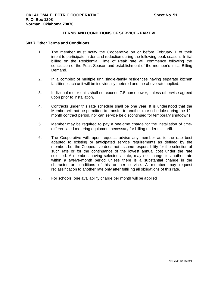#### **603.7 Other Terms and Conditions:**

- 1. The member must notify the Cooperative on or before February 1 of their intent to participate in demand reduction during the following peak season. Initial billing on the Residential Time of Peak rate will commence following the conclusion of the Peak Season and establishment of the member's initial Billing Demand.
- 2. In a complex of multiple unit single-family residences having separate kitchen facilities, each unit will be individually metered and the above rate applied.
- 3. Individual motor units shall not exceed 7.5 horsepower, unless otherwise agreed upon prior to installation.
- 4. Contracts under this rate schedule shall be one year. It is understood that the Member will not be permitted to transfer to another rate schedule during the 12 month contract period, nor can service be discontinued for temporary shutdowns.
- 5. Member may be required to pay a one-time charge for the installation of timedifferentiated metering equipment necessary for billing under this tariff.
- 6. The Cooperative will, upon request, advise any member as to the rate best adapted to existing or anticipated service requirements as defined by the member, but the Cooperative does not assume responsibility for the selection of such rate or for the continuance of the lowest annual cost under the rate selected. A member, having selected a rate, may not change to another rate within a twelve-month period unless there is a substantial change in the character or conditions of his or her service. A member may request reclassification to another rate only after fulfilling all obligations of this rate.
- 7. For schools, one availability charge per month will be applied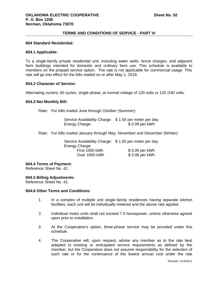## **604 Standard Residential:**

### **604.1 Applicable:**

To a single-family private residential unit, including water wells, fence charges, and adjacent farm buildings intended for domestic and ordinary farm use. This schedule is available to members on the prepaid service option. The rate is not applicable for commercial usage. This rate will go into effect for the bills mailed on or after May 1, 2019.

### **604.2 Character of Service:**

Alternating current, 60 cycles, single-phase, at normal voltage of 120 volts or 120 /240 volts.

### **604.3 Net Monthly Bill:**

Rate: For bills mailed June through October (Summer):

Service Availability Charge: \$ 1.50 per meter per day Energy Charge:  $$ 0.09$  per kWh

Rate: For bills mailed January through May, November and December (Winter):

Service Availability Charge: \$ 1.50 per meter per day Energy Charge: First 1000 kWh  $\begin{array}{ccc} 50.09 & \text{per kWh} \\ \text{Over } 1000 & \text{kWh} \end{array}$  \$ 0.06 per kWh Over 1000 kWh

### **604.4 Terms of Payment:**

Reference Sheet No. 42.

#### **604.5 Billing Adjustments:**

Reference Sheet No. 42.

### **604.6 Other Terms and Conditions:**

- 1. In a complex of multiple unit single-family residences having separate kitchen facilities, each unit will be individually metered and the above rate applied.
- 2. Individual motor units shall not exceed 7.5 horsepower, unless otherwise agreed upon prior to installation.
- 3. At the Cooperative's option, three-phase service may be provided under this schedule.
- 4. The Cooperative will, upon request, advise any member as to the rate best adapted to existing or anticipated service requirements as defined by the member, but the Cooperative does not assume responsibility for the selection of such rate or for the continuance of the lowest annual cost under the rate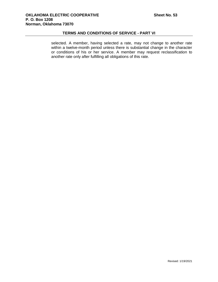selected. A member, having selected a rate, may not change to another rate within a twelve-month period unless there is substantial change in the character or conditions of his or her service. A member may request reclassification to another rate only after fulfilling all obligations of this rate.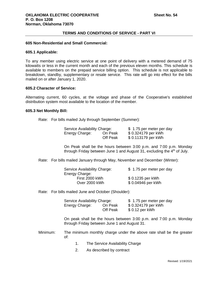# **605 Non-Residential and Small Commercial:**

#### **605.1 Applicable:**

To any member using electric service at one point of delivery with a metered demand of 75 kilowatts or less in the current month and each of the previous eleven months. This schedule is available to members on the prepaid service billing option. This schedule is not applicable to breakdown, standby, supplementary or resale service. This rate will go into effect for the bills mailed on or after January 1, 2020.

# **605.2 Character of Service:**

Alternating current, 60 cycles, at the voltage and phase of the Cooperative's established distribution system most available to the location of the member.

### **605.3 Net Monthly Bill:**

Rate: For bills mailed July through September (Summer):

| Service Availability Charge: |          | \$1.75 per meter per day |
|------------------------------|----------|--------------------------|
| Energy Charge:               | On Peak  | \$ 0.324179 per kWh      |
|                              | Off Peak | \$ 0.113179 per kWh      |

On Peak shall be the hours between 3:00 p.m. and 7:00 p.m. Monday through Friday between June 1 and August 31, excluding the  $4<sup>th</sup>$  of July.

Rate: For bills mailed January through May, November and December (Winter):

| Service Availability Charge: | \$1.75 per meter per day |
|------------------------------|--------------------------|
| Energy Charge:               |                          |
| First 2000 kWh               | \$ 0.1235 per kWh        |
| Over 2000 kWh                | \$0.04946 per kWh        |

Rate: For bills mailed June and October (Shoulder):

| Service Availability Charge: |          | \$1.75 per meter per day |
|------------------------------|----------|--------------------------|
| Energy Charge:               | On Peak  | \$0.324179 per kWh       |
|                              | Off Peak | \$ 0.12 per kWh          |

On peak shall be the hours between 3:00 p.m. and 7:00 p.m. Monday through Friday between June 1 and August 31.

Minimum: The minimum monthly charge under the above rate shall be the greater of:

- 1. The Service Availability Charge
- 2. As described by contract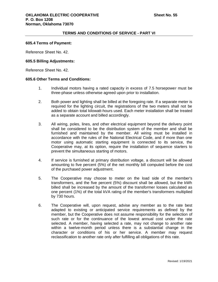### **605.4 Terms of Payment:**

Reference Sheet No. 42.

## **605.5 Billing Adjustments:**

Reference Sheet No. 42.

### **605.6 Other Terms and Conditions:**

- 1. Individual motors having a rated capacity in excess of 7.5 horsepower must be three-phase unless otherwise agreed upon prior to installation.
- 2. Both power and lighting shall be billed at the foregoing rate. If a separate meter is required for the lighting circuit, the registrations of the two meters shall not be added to obtain total kilowatt-hours used. Each meter installation shall be treated as a separate account and billed accordingly.
- 3. All wiring, poles, lines, and other electrical equipment beyond the delivery point shall be considered to be the distribution system of the member and shall be furnished and maintained by the member. All wiring must be installed in accordance with the rules of the National Electrical Code, and if more than one motor using automatic starting equipment is connected to its service, the Cooperative may, at its option, require the installation of sequence starters to prevent the simultaneous starting of motors.
- 4. If service is furnished at primary distribution voltage, a discount will be allowed amounting to five percent (5%) of the net monthly bill computed before the cost of the purchased power adjustment.
- 5. The Cooperative may choose to meter on the load side of the member's transformers, and the five percent (5%) discount shall be allowed, but the kWh billed shall be increased by the amount of the transformer losses calculated as one percent (1%) of the total kVA rating of the member's transformers multiplied by 730 hours.
- 6. The Cooperative will, upon request, advise any member as to the rate best adapted to existing or anticipated service requirements as defined by the member, but the Cooperative does not assume responsibility for the selection of such rate or for the continuance of the lowest annual cost under the rate selected. A member, having selected a rate, may not change to another rate within a twelve-month period unless there is a substantial change in the character or conditions of his or her service. A member may request reclassification to another rate only after fulfilling all obligations of this rate.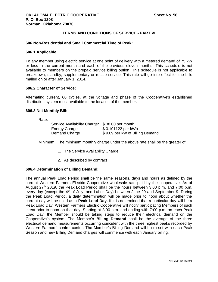### **606 Non-Residential and Small Commercial Time of Peak:**

#### **606.1 Applicable:**

To any member using electric service at one point of delivery with a metered demand of 75 kW or less in the current month and each of the previous eleven months. This schedule is not available to members on the prepaid service billing option. This schedule is not applicable to breakdown, standby, supplementary or resale service. This rate will go into effect for the bills mailed on or after January 1, 2014.

# **606.2 Character of Service:**

Alternating current, 60 cycles, at the voltage and phase of the Cooperative's established distribution system most available to the location of the member.

#### **606.3 Net Monthly Bill:**

Rate:

| Service Availability Charge: \$38.00 per month |                                 |
|------------------------------------------------|---------------------------------|
| Energy Charge:                                 | \$ 0.101122 per kWh             |
| Demand Charge                                  | \$9.09 per kW of Billing Demand |

Minimum: The minimum monthly charge under the above rate shall be the greater of:

- 1. The Service Availability Charge
- 2. As described by contract

# **606.4 Determination of Billing Demand:**

The annual Peak Load Period shall be the same seasons, days and hours as defined by the current Western Farmers Electric Cooperative wholesale rate paid by the cooperative. As of August  $27<sup>th</sup>$  2019, the Peak Load Period shall be the hours between 3:00 p.m. and 7:00 p.m. every day (except the  $4<sup>th</sup>$  of July, and Labor Day) between June 20 and September 9. During the Peak Load Period, a daily determination will be made prior to noon about whether the current day will be used as a **Peak Load Day.** If it is determined that a particular day will be a Peak Load Day, Western Farmers Electric Cooperative will notify participating Members of such intent prior to noon on that day. Starting at 3:00 p.m. and ending with 7:00 p.m. on each Peak Load Day, the Member should be taking steps to reduce their electrical demand on the Cooperative's system. The Member's **Billing Demand** shall be the average of the three electrical demand measurements occurring coincident with the three highest peaks recorded by Western Farmers' control center. The Member's Billing Demand will be re-set with each Peak Season and new Billing Demand charges will commence with each January billing.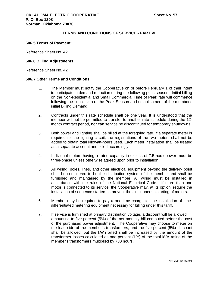### **606.5 Terms of Payment:**

Reference Sheet No. 42.

### **606.6 Billing Adjustments:**

Reference Sheet No. 42.

### **606.7 Other Terms and Conditions:**

- 1. The Member must notify the Cooperative on or before February 1 of their intent to participate in demand reduction during the following peak season. Initial billing on the Non-Residential and Small Commercial Time of Peak rate will commence following the conclusion of the Peak Season and establishment of the member's initial Billing Demand.
- 2. Contracts under this rate schedule shall be one year. It is understood that the member will not be permitted to transfer to another rate schedule during the 12 month contract period, nor can service be discontinued for temporary shutdowns.
- 3. Both power and lighting shall be billed at the foregoing rate. If a separate meter is required for the lighting circuit, the registrations of the two meters shall not be added to obtain total kilowatt-hours used. Each meter installation shall be treated as a separate account and billed accordingly.
- 4. Individual motors having a rated capacity in excess of 7.5 horsepower must be three-phase unless otherwise agreed upon prior to installation.
- 5. All wiring, poles, lines, and other electrical equipment beyond the delivery point shall be considered to be the distribution system of the member and shall be furnished and maintained by the member. All wiring must be installed in accordance with the rules of the National Electrical Code. If more than one motor is connected to its service, the Cooperative may, at its option, require the installation of sequence starters to prevent the simultaneous starting of motors.
- 6. Member may be required to pay a one-time charge for the installation of timedifferentiated metering equipment necessary for billing under this tariff.
- 7. If service is furnished at primary distribution voltage, a discount will be allowed amounting to five percent (5%) of the net monthly bill computed before the cost of the purchased power adjustment. The Cooperative may choose to meter on the load side of the member's transformers, and the five percent (5%) discount shall be allowed, but the kWh billed shall be increased by the amount of the transformer losses calculated as one percent (1%) of the total kVA rating of the member's transformers multiplied by 730 hours.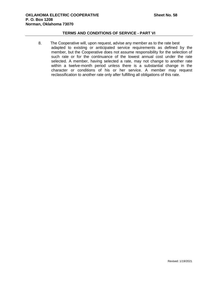8. The Cooperative will, upon request, advise any member as to the rate best adapted to existing or anticipated service requirements as defined by the member, but the Cooperative does not assume responsibility for the selection of such rate or for the continuance of the lowest annual cost under the rate selected. A member, having selected a rate, may not change to another rate within a twelve-month period unless there is a substantial change in the character or conditions of his or her service. A member may request reclassification to another rate only after fulfilling all obligations of this rate.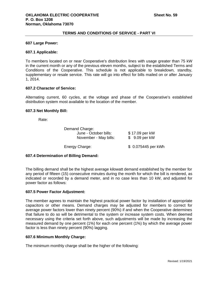### **607 Large Power:**

### **607.1 Applicable:**

To members located on or near Cooperative's distribution lines with usage greater than 75 kW in the current month or any of the previous eleven months, subject to the established Terms and Conditions of the Cooperative. This schedule is not applicable to breakdown, standby, supplementary or resale service. This rate will go into effect for bills mailed on or after January 1, 2014.

# **607.2 Character of Service:**

Alternating current, 60 cycles, at the voltage and phase of the Cooperative's established distribution system most available to the location of the member.

#### **607.3 Net Monthly Bill:**

Rate:

| Demand Charge:        |                |
|-----------------------|----------------|
| June - October bills: | \$17.09 per kW |
| November - May bills: | \$ 9.09 per kW |
|                       |                |

Energy Charge:  $$ 0.075445$  per kWh

# **607.4 Determination of Billing Demand:**

The billing demand shall be the highest average kilowatt demand established by the member for any period of fifteen (15) consecutive minutes during the month for which the bill is rendered, as indicated or recorded by a demand meter, and in no case less than 10 kW, and adjusted for power factor as follows:

### **607.5 Power Factor Adjustment:**

The member agrees to maintain the highest practical power factor by installation of appropriate capacitors or other means. Demand charges may be adjusted for members to correct for average power factors lower than ninety percent (90%) if and when the Cooperative determines that failure to do so will be detrimental to the system or increase system costs. When deemed necessary using the criteria set forth above, such adjustments will be made by increasing the measured demand by one percent (1%) for each one percent (1%) by which the average power factor is less than ninety percent (90%) lagging.

# **607.6 Minimum Monthly Charge:**

The minimum monthly charge shall be the higher of the following: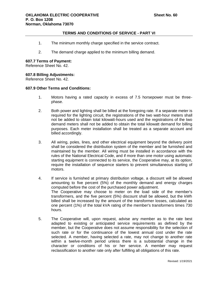- 1. The minimum monthly charge specified in the service contract.
- 2. The demand charge applied to the minimum billing demand.

## **607.7 Terms of Payment:**

Reference Sheet No. 42.

# **607.8 Billing Adjustments:**

Reference Sheet No. 42.

# **607.9 Other Terms and Conditions:**

- 1. Motors having a rated capacity in excess of 7.5 horsepower must be threephase.
- 2. Both power and lighting shall be billed at the foregoing rate. If a separate meter is required for the lighting circuit, the registrations of the two watt-hour meters shall not be added to obtain total kilowatt-hours used and the registrations of the two demand meters shall not be added to obtain the total kilowatt demand for billing purposes. Each meter installation shall be treated as a separate account and billed accordingly.
- 3. All wiring, poles, lines, and other electrical equipment beyond the delivery point shall be considered the distribution system of the member and be furnished and maintained by the member. All wiring must be installed in accordance with the rules of the National Electrical Code, and if more than one motor using automatic starting equipment is connected to its service, the Cooperative may, at its option, require the installation of sequence starters to prevent simultaneous starting of motors.
- 4. If service is furnished at primary distribution voltage, a discount will be allowed amounting to five percent (5%) of the monthly demand and energy charges computed before the cost of the purchased power adjustment. The Cooperative may choose to meter on the load side of the member's transformers, and the five percent (5%) discount shall be allowed, but the kWh billed shall be increased by the amount of the transformer losses, calculated as one percent (1%) of the total kVA rating of the member's transformers times 730 hours.
- 5. The Cooperative will, upon request, advise any member as to the rate best adapted to existing or anticipated service requirements as defined by the member, but the Cooperative does not assume responsibility for the selection of such rate or for the continuance of the lowest annual cost under the rate selected. A member, having selected a rate, may not change to another rate within a twelve-month period unless there is a substantial change in the character or conditions of his or her service. A member may request reclassification to another rate only after fulfilling all obligations of this rate.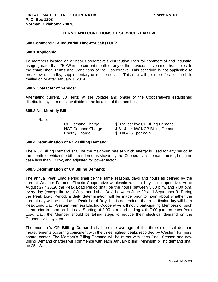### **608 Commercial & Industrial Time-of-Peak (TOP):**

### **608.1 Applicable:**

To members located on or near Cooperative's distribution lines for commercial and industrial usage greater than 75 kW in the current month or any of the previous eleven months, subject to the established Terms and Conditions of the Cooperative. This schedule is not applicable to breakdown, standby, supplementary or resale service. This rate will go into effect for the bills mailed on or after January 1, 2014.

# **608.2 Character of Service:**

Alternating current, 60 Hertz, at the voltage and phase of the Cooperative's established distribution system most available to the location of the member.

### **608.3 Net Monthly Bill:**

Rate:

Energy Charge: \$ 0.064251 per kWh

CP Demand Charge: \$ 8.55 per kW CP Billing Demand NCP Demand Charge: \$ 6.14 per kW NCP Billing Demand

### **608.4 Determination of NCP Billing Demand:**

The NCP Billing Demand shall be the maximum rate at which energy is used for any period in the month for which the bill is rendered as shown by the Cooperative's demand meter, but in no case less than 10 kW, and adjusted for power factor.

### **608.5 Determination of CP Billing Demand:**

The annual Peak Load Period shall be the same seasons, days and hours as defined by the current Western Farmers Electric Cooperative wholesale rate paid by the cooperative. As of August  $27<sup>th</sup>$  2019, the Peak Load Period shall be the hours between 3:00 p.m. and 7:00 p.m. every day (except the  $4<sup>th</sup>$  of July, and Labor Day) between June 20 and September 9. During the Peak Load Period, a daily determination will be made prior to noon about whether the current day will be used as a **Peak Load Day.** If it is determined that a particular day will be a Peak Load Day, Western Farmers Electric Cooperative will notify participating Members of such intent prior to noon on that day. Starting at 3:00 p.m. and ending with 7:00 p.m. on each Peak Load Day, the Member should be taking steps to reduce their electrical demand on the Cooperative's system.

The member's CP **Billing Demand** shall be the average of the three electrical demand measurements occurring coincident with the three highest peaks recorded by Western Farmers' control center. The Member's Billing Demand will be re-set with each Peak Season and new Billing Demand charges will commence with each January billing. Minimum billing demand shall be 25 kW.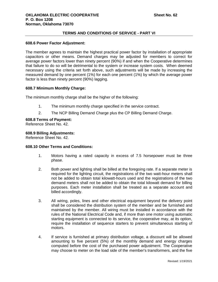# **608.6 Power Factor Adjustment:**

The member agrees to maintain the highest practical power factor by installation of appropriate capacitors or other means. Demand charges may be adjusted for members to correct for average power factors lower than ninety percent (90%) if and when the Cooperative determines that failure to do so will be detrimental to the system or increase system costs. When deemed necessary using the criteria set forth above, such adjustments will be made by increasing the measured demand by one percent (1%) for each one percent (1%) by which the average power factor is less than ninety percent (90%) lagging.

# **608.7 Minimum Monthly Charge:**

The minimum monthly charge shall be the higher of the following:

- 1. The minimum monthly charge specified in the service contract.
- 2. The NCP Billing Demand Charge plus the CP Billing Demand Charge.

## **608.8 Terms of Payment:**

Reference Sheet No. 42.

# **608.9 Billing Adjustments:**

Reference Sheet No. 42.

# **608.10 Other Terms and Conditions:**

- 1. Motors having a rated capacity in excess of 7.5 horsepower must be three phase.
- 2. Both power and lighting shall be billed at the foregoing rate. If a separate meter is required for the lighting circuit, the registrations of the two watt-hour meters shall not be added to obtain total kilowatt-hours used and the registrations of the two demand meters shall not be added to obtain the total kilowatt demand for billing purposes. Each meter installation shall be treated as a separate account and billed accordingly.
- 3. All wiring, poles, lines and other electrical equipment beyond the delivery point shall be considered the distribution system of the member and be furnished and maintained by the member. All wiring must be installed in accordance with the rules of the National Electrical Code and, if more than one motor using automatic starting equipment is connected to its service, the cooperative may, at its option, require the installation of sequence starters to prevent simultaneous starting of motors.
- 4. If service is furnished at primary distribution voltage, a discount will be allowed amounting to five percent (5%) of the monthly demand and energy charges computed before the cost of the purchased power adjustment. The Cooperative may choose to meter on the load side of the member's transformers, and the five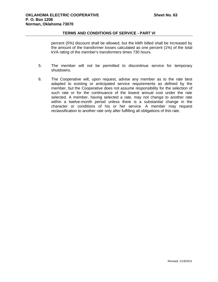percent (5%) discount shall be allowed, but the kWh billed shall be increased by the amount of the transformer losses calculated as one percent (1%) of the total kVA rating of the member's transformers times 730 hours.

- 5. The member will not be permitted to discontinue service for temporary shutdowns.
- 6. The Cooperative will, upon request, advise any member as to the rate best adapted to existing or anticipated service requirements as defined by the member, but the Cooperative does not assume responsibility for the selection of such rate or for the continuance of the lowest annual cost under the rate selected. A member, having selected a rate, may not change to another rate within a twelve-month period unless there is a substantial change in the character or conditions of his or her service. A member may request reclassification to another rate only after fulfilling all obligations of this rate.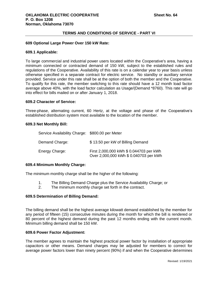### **609 Optional Large Power Over 150 kW Rate:**

## **609.1 Applicable:**

To large commercial and industrial power users located within the Cooperative's area, having a minimum connected or contracted demand of 150 kW, subject to the established rules and regulations of the Cooperative. Availability of this rate is on a calendar year to year basis unless otherwise specified in a separate contract for electric service. No standby or auxiliary service provided. Service under this rate shall be at the option of both the member and the Cooperative. To qualify for this rate, the member switching to this rate should have a 12 month load factor average above 40%, with the load factor calculation as Usage/(Demand \*8760). This rate will go into effect for bills mailed on or after January 1, 2018.

#### **609.2 Character of Service:**

Three-phase, alternating current, 60 Hertz, at the voltage and phase of the Cooperative's established distribution system most available to the location of the member.

#### **609.3 Net Monthly Bill:**

| Service Availability Charge: \$800.00 per Meter |                                                                                   |
|-------------------------------------------------|-----------------------------------------------------------------------------------|
| Demand Charge:                                  | \$13.50 per kW of Billing Demand                                                  |
| Energy Charge:                                  | First 2,000,000 kWh \$ 0.044703 per kWh<br>Over 2,000,000 kWh \$ 0.040703 per kWh |

# **609.4 Minimum Monthly Charge:**

The minimum monthly charge shall be the higher of the following:

- 1. The Billing Demand Charge plus the Service Availability Charge; or
- 2. The minimum monthly charge set forth in the contract.

# **609.5 Determination of Billing Demand:**

The billing demand shall be the highest average kilowatt demand established by the member for any period of fifteen (15) consecutive minutes during the month for which the bill is rendered or 80 percent of the highest demand during the past 12 months ending with the current month. Minimum billing demand shall be 150 kW.

### **609.6 Power Factor Adjustment:**

The member agrees to maintain the highest practical power factor by installation of appropriate capacitors or other means. Demand charges may be adjusted for members to correct for average power factors lower than ninety percent (90%) if and when the Cooperative determines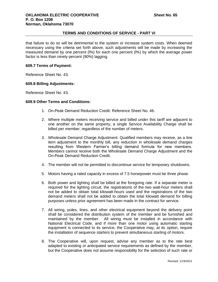that failure to do so will be detrimental to the system or increase system costs. When deemed necessary using the criteria set forth above, such adjustments will be made by increasing the measured demand by one percent (l%) for each one percent (l%) by which the average power factor is less than ninety percent (90%) lagging.

# **609.7 Terms of Payment:**

Reference Sheet No. 43.

# **609.8 Billing Adjustments:**

Reference Sheet No. 43.

# **609.9 Other Terms and Conditions:**

- 1. On-Peak Demand Reduction Credit: Reference Sheet No. 46.
- 2. Where multiple meters receiving service and billed under this tariff are adjacent to one another on the same property, a single Service Availability Charge shall be billed per member, regardless of the number of meters.
- 3. Wholesale Demand Charge Adjustment: Qualified members may receive, as a line item adjustment to the monthly bill, any reduction in wholesale demand charges resulting from Western Farmer's billing demand formula for new members. Members cannot receive both the Wholesale Demand Charge Adjustment and the On-Peak Demand Reduction Credit.
- 4. The member will not be permitted to discontinue service for temporary shutdowns.
- 5. Motors having a rated capacity in excess of 7.5 horsepower must be three phase.
- 6. Both power and lighting shall be billed at the foregoing rate. If a separate meter is required for the lighting circuit, the registrations of the two watt-hour meters shall not be added to obtain total kilowatt-hours used and the registrations of the two demand meters shall not be added to obtain the total kilowatt demand for billing purposes unless prior agreement has been made in the contract for service.
- 7. All wiring, poles, lines, and other electrical equipment beyond the delivery point shall be considered the distribution system of the member and be furnished and maintained by the member. All wiring must be installed in accordance with National Electrical Code, and if more than one motor using automatic starting equipment is connected to its service, the Cooperative may, at its option, require the installation of sequence starters to prevent simultaneous starting of motors.
- 8. The Cooperative will, upon request, advise any member as to the rate best adapted to existing or anticipated service requirements as defined by the member, but the Cooperative does not assume responsibility for the selection of such rate or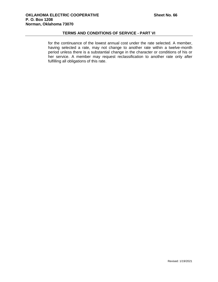for the continuance of the lowest annual cost under the rate selected. A member, having selected a rate, may not change to another rate within a twelve-month period unless there is a substantial change in the character or conditions of his or her service. A member may request reclassification to another rate only after fulfilling all obligations of this rate.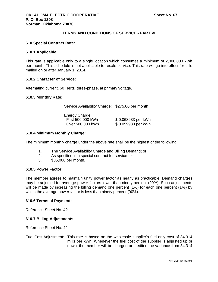#### **610 Special Contract Rate:**

#### **610.1 Applicable:**

This rate is applicable only to a single location which consumes a minimum of 2,000,000 kWh per month. This schedule is not applicable to resale service. This rate will go into effect for bills mailed on or after January 1, 2014.

#### **610.2 Character of Service:**

Alternating current, 60 Hertz, three-phase, at primary voltage.

#### **610.3 Monthly Rate:**

Service Availability Charge: \$275.00 per month

Energy Charge: First 500,000 kWh \$ 0.068933 per kWh Over 500,000 kWh \$ 0.059933 per kWh

## **610.4 Minimum Monthly Charge:**

The minimum monthly charge under the above rate shall be the highest of the following:

- 1. The Service Availability Charge and Billing Demand; or,
- 2. As specified in a special contract for service; or
- 3. \$35,000 per month.

## **610.5 Power Factor:**

The member agrees to maintain unity power factor as nearly as practicable. Demand charges may be adjusted for average power factors lower than ninety percent (90%). Such adjustments will be made by increasing the billing demand one percent (1%) for each one percent (1%) by which the average power factor is less than ninety percent (90%).

## **610.6 Terms of Payment:**

Reference Sheet No. 42.

## **610.7 Billing Adjustments:**

Reference Sheet No. 42.

Fuel Cost Adjustment: This rate is based on the wholesale supplier's fuel only cost of 34.314 mills per kWh. Whenever the fuel cost of the supplier is adjusted up or down, the member will be charged or credited the variance from 34.314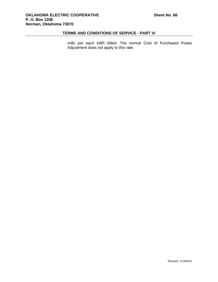mills per each kWh billed. The normal Cost of Purchased Power Adjustment does not apply to this rate.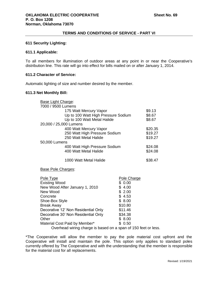## **611 Security Lighting:**

## **611.1 Applicable:**

To all members for illumination of outdoor areas at any point in or near the Cooperative's distribution line. This rate will go into effect for bills mailed on or after January 1, 2014.

# **611.2 Character of Service:**

Automatic lighting of size and number desired by the member.

# **611.3 Net Monthly Bill:**

| <b>Base Light Charge:</b> |                                     |                    |         |
|---------------------------|-------------------------------------|--------------------|---------|
| 7000 / 9500 Lumens        |                                     |                    |         |
|                           | 175 Watt Mercury Vapor              |                    | \$9.13  |
|                           | Up to 100 Watt High Pressure Sodium |                    | \$8.67  |
|                           | Up to 100 Watt Metal Halide         |                    | \$8.67  |
| 20,000 / 25,000 Lumens    |                                     |                    |         |
|                           | 400 Watt Mercury Vapor              |                    | \$20.35 |
|                           | 250 Watt High Pressure Sodium       |                    | \$19.27 |
| 250 Watt Metal Halide     |                                     |                    | \$19.27 |
| 50,000 Lumens             |                                     |                    |         |
|                           | 400 Watt High Pressure Sodium       |                    | \$24.08 |
|                           | 400 Watt Metal Halide               |                    | \$24.08 |
|                           | 1000 Watt Metal Halide              |                    | \$38.47 |
| <b>Base Pole Charges:</b> |                                     |                    |         |
| Pole Type                 |                                     | <u>Pole Charge</u> |         |
| <b>Existing Wood</b>      |                                     | \$0.00             |         |
|                           | New Wood After January 1, 2010      | \$4.00             |         |
| New Wood                  |                                     | \$2.00             |         |
| Concrete                  |                                     | \$4.53             |         |

| <u>Pule Type</u>                                                    | Pole Unarge |
|---------------------------------------------------------------------|-------------|
| <b>Existing Wood</b>                                                | \$0.00      |
| New Wood After January 1, 2010                                      | \$4.00      |
| New Wood                                                            | \$2.00      |
| Concrete                                                            | \$4.53      |
| Shoe-Box Style                                                      | \$8.00      |
| <b>Break Away</b>                                                   | \$10.80     |
| Decorative 12' Non Residential Only                                 | \$11.46     |
| Decorative 30' Non Residential Only                                 | \$34.38     |
| Other                                                               | \$8.00      |
| Material Cost Paid by Member*                                       | \$0.50      |
| Overhead witing oberge is becad on a span of $150$ feet of $\alpha$ |             |

Overhead wiring charge is based on a span of 150 feet or less.

\*The Cooperative will allow the member to pay the pole material cost upfront and the Cooperative will install and maintain the pole. This option only applies to standard poles currently offered by The Cooperative and with the understanding that the member is responsible for the material cost for all replacements.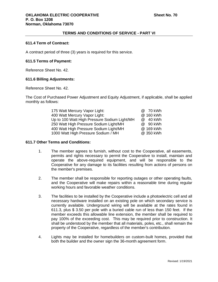## **611.4 Term of Contract:**

A contract period of three (3) years is required for this service.

# **611.5 Terms of Payment:**

Reference Sheet No. 42.

## **611.6 Billing Adjustments:**

Reference Sheet No. 42.

The Cost of Purchased Power Adjustment and Equity Adjustment, if applicable, shall be applied monthly as follows:

| 175 Watt Mercury Vapor Light:                | @ 70 kWh  |
|----------------------------------------------|-----------|
| 400 Watt Mercury Vapor Light:                | @ 160 kWh |
| Up to 100 Watt High Pressure Sodium Light/MH | @ 40 kWh  |
| 250 Watt High Pressure Sodium Light/MH       | @ 90 kWh  |
| 400 Watt High Pressure Sodium Light/MH       | @ 169 kWh |
| 1000 Watt High Pressure Sodium / MH          | @ 350 kWh |

## **611.7 Other Terms and Conditions:**

- 1. The member agrees to furnish, without cost to the Cooperative, all easements, permits and rights necessary to permit the Cooperative to install, maintain and operate the above-required equipment, and will be responsible to the Cooperative for any damage to its facilities resulting from actions of persons on the member's premises.
- 2. The member shall be responsible for reporting outages or other operating faults, and the Cooperative will make repairs within a reasonable time during regular working hours and favorable weather conditions.
- 3. The facilities to be installed by the Cooperative include a photoelectric cell and all necessary hardware installed on an existing pole on which secondary service is currently available. Underground wiring will be available at the rates found in 611.3, plus \$ 3.50 per pole with a buried cable run of less than 150 feet. If the member exceeds this allowable line extension, the member shall be required to pay 100% of the exceeding cost. This may be required prior to construction. It shall be understood by the member that all materials, poles, etc., shall remain the property of the Cooperative, regardless of the member's contribution.
- 4. Lights may be installed for homebuilders on custom-built homes, provided that both the builder and the owner sign the 36-month agreement form.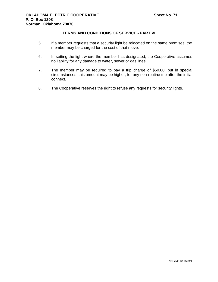- 5. If a member requests that a security light be relocated on the same premises, the member may be charged for the cost of that move.
- 6. In setting the light where the member has designated, the Cooperative assumes no liability for any damage to water, sewer or gas lines.
- 7. The member may be required to pay a trip charge of \$50.00, but in special circumstances, this amount may be higher, for any non-routine trip after the initial connect.
- 8. The Cooperative reserves the right to refuse any requests for security lights.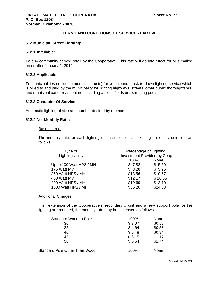## **612 Municipal Street Lighting:**

## **612.1 Available:**

To any community served retail by the Cooperative. This rate will go into effect for bills mailed on or after January 1, 2014.

## **612.2 Applicable:**

To municipalities (including municipal trusts) for year-round, dusk-to-dawn lighting service which is billed to and paid by the municipality for lighting highways, streets, other public thoroughfares, and municipal park areas, but not including athletic fields or swimming pools.

#### **612.3 Character Of Service:**

Automatic lighting of size and number desired by member.

#### **612.4 Net Monthly Rate:**

#### Base charge:

The monthly rate for each lighting unit installed on an existing pole or structure is as follows:

| Type of                 | Percentage of Lighting             |         |
|-------------------------|------------------------------------|---------|
| <b>Lighting Units</b>   | <b>Investment Provided by Coop</b> |         |
|                         | 100%                               | None    |
| Up to 100 Watt HPS / MH | \$7.82                             | \$5.50  |
| 175 Watt MV             | \$8.28                             | \$5.96  |
| 250 Watt HPS / MH       | \$13.56                            | \$9.57  |
| 400 Watt MV             | \$12.17                            | \$10.65 |
| 400 Watt HPS / MH       | \$19.69                            | \$13.10 |
| 1000 Watt HPS / MH      | \$36.26                            | \$24.63 |

Additional Charges:

If an extension of the Cooperative's secondary circuit and a new support pole for the lighting are required, the monthly rate may be increased as follows:

| <b>Standard Wooden Pole</b>   | 100%   | None   |
|-------------------------------|--------|--------|
| 30'                           | \$3.07 | \$0.50 |
| 35'                           | \$4.64 | \$0.58 |
| 40'                           | \$5.48 | \$0.84 |
| 45'                           | \$6.15 | \$1.17 |
| 50'                           | \$6.64 | \$1.74 |
| Standard Pole Other Than Wood | 100%   | None   |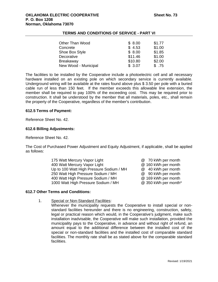| <b>Other Than Wood</b> | \$8.00  | \$1.77 |
|------------------------|---------|--------|
| Concrete               | \$4.53  | \$1.00 |
| Shoe Box Style         | \$8.00  | \$1.85 |
| Decorative             | \$11.46 | \$1.00 |
| <b>Breakaway</b>       | \$10.80 | \$2.00 |
| New Wood - Municipal   | \$3.07  | \$.75  |

The facilities to be installed by the Cooperative include a photoelectric cell and all necessary hardware installed on an existing pole on which secondary service is currently available. Underground wiring will be available at the rates found above plus \$ 3.50 per pole with a buried cable run of less than 150 feet. If the member exceeds this allowable line extension, the member shall be required to pay 100% of the exceeding cost. This may be required prior to construction. It shall be understood by the member that all materials, poles, etc., shall remain the property of the Cooperative, regardless of the member's contribution.

## **612.5 Terms of Payment:**

Reference Sheet No. 42.

## **612.6 Billing Adjustments:**

Reference Sheet No. 42.

The Cost of Purchased Power Adjustment and Equity Adjustment, if applicable, shall be applied as follows:

> 175 Watt Mercury Vapor Light **Communist Communist Communist Communist Communist Communist Communist Communist Communist Communist Communist Communist Communist Communist Communist Communist Communist Communist Communist Co** 400 Watt Mercury Vapor Light **@ 160 kWh** per month Up to 100 Watt High Pressure Sodium / MH @ 40 kWh per month 250 Watt High Pressure Sodium / MH @ 90 kWh per month 400 Watt High Pressure Sodium / MH @ 169 kWh per month 1000 Watt High Pressure Sodium / MH @ 350 kWh per month\*

# **612.7 Other Terms and Conditions:**

- 1. Special or Non-Standard Facilities:
	- Whenever the municipality requests the Cooperative to install special or nonstandard facilities hereunder and there is no engineering, construction, safety, legal or practical reason which would, in the Cooperative's judgment, make such installation inadvisable, the Cooperative will make such installation, provided the municipality pays to the Cooperative, in advance and without right of refund, an amount equal to the additional difference between the installed cost of the special or non-standard facilities and the installed cost of comparable standard facilities. The monthly rate shall be as stated above for the comparable standard facilities.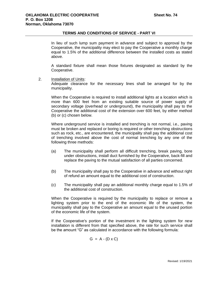In lieu of such lump sum payment in advance and subject to approval by the Cooperative, the municipality may elect to pay the Cooperative a monthly charge equal to 1.5% of the additional difference between the installed costs as stated above.

A standard fixture shall mean those fixtures designated as standard by the Cooperative.

2. Installation of Units:

Adequate clearance for the necessary lines shall be arranged for by the municipality.

When the Cooperative is required to install additional lights at a location which is more than 600 feet from an existing suitable source of power supply of secondary voltage (overhead or underground), the municipality shall pay to the Cooperative the additional cost of the extension over 600 feet, by either method (b) or (c) chosen below.

Where underground service is installed and trenching is not normal, i.e., paving must be broken and replaced or boring is required or other trenching obstructions such as rock, etc., are encountered, the municipality shall pay the additional cost of trenching involved above the cost of normal trenching by any one of the following three methods:

- (a) The municipality shall perform all difficult trenching, break paving, bore under obstructions, install duct furnished by the Cooperative, back-fill and replace the paving to the mutual satisfaction of all parties concerned.
- (b) The municipality shall pay to the Cooperative in advance and without right of refund an amount equal to the additional cost of construction.
- (c) The municipality shall pay an additional monthly charge equal to 1.5% of the additional cost of construction.

When the Cooperative is required by the municipality to replace or remove a lighting system prior to the end of the economic life of the system, the municipality shall pay to the Cooperative an amount equal to the unused portion of the economic life of the system.

If the Cooperative's portion of the investment in the lighting system for new installation is different from that specified above, the rate for such service shall be the amount "G" as calculated in accordance with the following formula:

 $G = A - (D \times C)$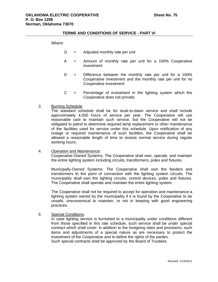#### Where:

- $G =$  Adjusted monthly rate per unit
- A = Amount of monthly rate per unit for a 100% Cooperative investment
- $D =$  Difference between the monthly rate per unit for a 100% Cooperative investment and the monthly rate per unit for no Cooperative investment
- $C =$  Percentage of investment in the lighting system which the Cooperative does not provide.
- 3. Burning Schedule:

The standard schedule shall be for dusk-to-dawn service and shall include approximately 4,000 hours of service per year. The Cooperative will use reasonable care to maintain such service, but the Cooperative will not be obligated to patrol to determine required lamp replacement or other maintenance of the facilities used for service under this schedule. Upon notification of any outage or required maintenance of such facilities, the Cooperative shall be allowed a reasonable length of time to restore normal service during regular working hours.

4. Operation and Maintenance: Cooperative-Owned Systems: The Cooperative shall own, operate, and maintain the entire lighting system including circuits, transformers, poles and fixtures.

Municipally-Owned Systems: The Cooperative shall own the feeders and transformers to the point of connection with the lighting system circuits. The municipality shall own the lighting circuits, control devices, poles and fixtures. The Cooperative shall operate and maintain the entire lighting system.

The Cooperative shall not be required to accept for operation and maintenance a lighting system owned by the municipality if it is found by the Cooperative to be unsafe, uneconomical to maintain, or not in keeping with good engineering practices.

5. Special Conditions:

In case lighting service is furnished to a municipality under conditions different from those specified in this rate schedule, such service shall be under special contract which shall cover, in addition to the foregoing rates and provisions, such items and adjustments of a special nature as are necessary to protect the investment of the Cooperative and to define the rights of the parties. Such special contracts shall be approved by the Board of Trustees.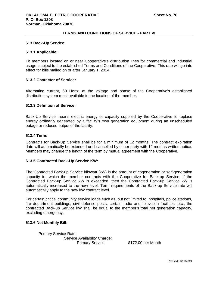## **613 Back-Up Service:**

#### **613.1 Applicable:**

To members located on or near Cooperative's distribution lines for commercial and industrial usage, subject to the established Terms and Conditions of the Cooperative. This rate will go into effect for bills mailed on or after January 1, 2014.

#### **613.2 Character of Service:**

Alternating current, 60 Hertz, at the voltage and phase of the Cooperative's established distribution system most available to the location of the member.

## **613.3 Definition of Service:**

Back-Up Service means electric energy or capacity supplied by the Cooperative to replace energy ordinarily generated by a facility's own generation equipment during an unscheduled outage or reduced output of the facility.

#### **613.4 Term:**

Contracts for Back-Up Service shall be for a minimum of 12 months. The contract expiration date will automatically be extended until cancelled by either party with 12 months written notice. Members may change the length of the term by mutual agreement with the Cooperative.

## **613.5 Contracted Back-Up Service KW:**

The Contracted Back-up Service kilowatt (kW) is the amount of cogeneration or self-generation capacity for which the member contracts with the Cooperative for Back-up Service. If the Contracted Back-up Service kW is exceeded, then the Contracted Back-up Service kW is automatically increased to the new level. Term requirements of the Back-up Service rate will automatically apply to the new kW contract level.

For certain critical community service loads such as, but not limited to, hospitals, police stations, fire department buildings, civil defense posts, certain radio and television facilities, etc., the contracted Back-up Service kW shall be equal to the member's total net generation capacity, excluding emergency.

## **613.6 Net Monthly Bill:**

Primary Service Rate: Service Availability Charge:

Primary Service \$172.00 per Month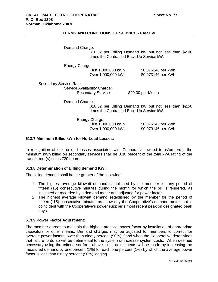Demand Charge:

\$10.52 per Billing Demand kW but not less than \$2.00 times the Contracted Back-Up Service kW.

Energy Charge:

First 1,000,000 kWh \$0.076146 per kWh Over 1,000,000 kWh \$0.073146 per kWh

Secondary Service Rate: Service Availability Charge:

Secondary Service \$90.00 per Month

Demand Charge:

\$10.52 per Billing Demand kW but not less than \$2.50 times the Contracted Back-Up Service kW.

Energy Charge:

First 1,000,000 kWh \$0.076146 per kWh Over 1,000,000 kWh \$0.073146 per kWh

## **613.7 Minimum Billed kWh for No-Load Losses:**

In recognition of the no-load losses associated with Cooperative owned transformer(s), the minimum kWh billed on secondary services shall be 0.30 percent of the total kVA rating of the transformer(s) times 730 hours.

## **613.8 Determination of Billing demand KW:**

The billing demand shall be the greater of the following:

- 1. The highest average kilowatt demand established by the member for any period of fifteen (15) consecutive minutes during the month for which the bill is rendered, as indicated or recorded by a demand meter and adjusted for power factor.
- 2. The highest average kilowatt demand established by the member for the period of fifteen ( 15) consecutive minutes as shown by the Cooperative's demand meter that is coincident with the Cooperative's power supplier's most recent peak on designated peak days.

# **613.9 Power Factor Adjustment:**

The member agrees to maintain the highest practical power factor by installation of appropriate capacitors or other means. Demand charges may be adjusted for members to correct for average power factors lower than ninety percent (90%) if and when the Cooperative determines that failure to do so will be detrimental to the system or increase system costs. When deemed necessary using the criteria set forth above, such adjustments will be made by increasing the measured demand by one percent (1%) for each one percent (1%) by which the average power factor is less than ninety percent (90%) lagging.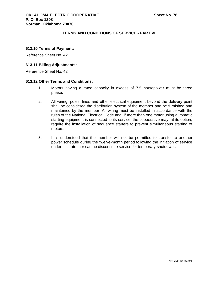## **613.10 Terms of Payment:**

Reference Sheet No. 42.

## **613.11 Billing Adjustments:**

Reference Sheet No. 42.

## **613.12 Other Terms and Conditions:**

- 1. Motors having a rated capacity in excess of 7.5 horsepower must be three phase.
- 2. All wiring, poles, lines and other electrical equipment beyond the delivery point shall be considered the distribution system of the member and be furnished and maintained by the member. All wiring must be installed in accordance with the rules of the National Electrical Code and, if more than one motor using automatic starting equipment is connected to its service, the cooperative may, at its option, require the installation of sequence starters to prevent simultaneous starting of motors.
- 3. It is understood that the member will not be permitted to transfer to another power schedule during the twelve-month period following the initiation of service under this rate, nor can he discontinue service for temporary shutdowns.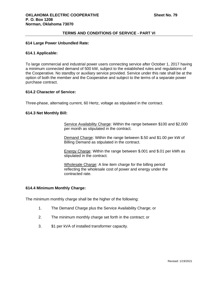## **614 Large Power Unbundled Rate:**

## **614.1 Applicable:**

To large commercial and industrial power users connecting service after October 1, 2017 having a minimum connected demand of 500 kW, subject to the established rules and regulations of the Cooperative. No standby or auxiliary service provided. Service under this rate shall be at the option of both the member and the Cooperative and subject to the terms of a separate power purchase contract.

## **614.2 Character of Service:**

Three-phase, alternating current, 60 Hertz, voltage as stipulated in the contract.

## **614.3 Net Monthly Bill:**

Service Availability Charge: Within the range between \$100 and \$2,000 per month as stipulated in the contract.

Demand Charge: Within the range between \$.50 and \$1.00 per kW of Billing Demand as stipulated in the contract.

Energy Charge: Within the range between \$.001 and \$.01 per kWh as stipulated in the contract.

Wholesale Charge: A line item charge for the billing period reflecting the wholesale cost of power and energy under the contracted rate.

## **614.4 Minimum Monthly Charge:**

The minimum monthly charge shall be the higher of the following:

- 1. The Demand Charge plus the Service Availability Charge; or
- 2. The minimum monthly charge set forth in the contract; or
- 3. \$1 per kVA of installed transformer capacity.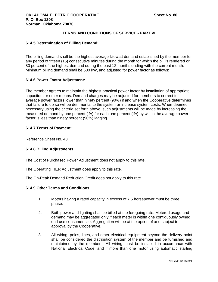## **614.5 Determination of Billing Demand:**

The billing demand shall be the highest average kilowatt demand established by the member for any period of fifteen (15) consecutive minutes during the month for which the bill is rendered or 80 percent of the highest demand during the past 12 months ending with the current month. Minimum billing demand shall be 500 kW, and adjusted for power factor as follows:

## **614.6 Power Factor Adjustment:**

The member agrees to maintain the highest practical power factor by installation of appropriate capacitors or other means. Demand charges may be adjusted for members to correct for average power factors lower than ninety percent (90%) if and when the Cooperative determines that failure to do so will be detrimental to the system or increase system costs. When deemed necessary using the criteria set forth above, such adjustments will be made by increasing the measured demand by one percent (l%) for each one percent (l%) by which the average power factor is less than ninety percent (90%) lagging.

## **614.7 Terms of Payment:**

Reference Sheet No. 43.

# **614.8 Billing Adjustments:**

The Cost of Purchased Power Adjustment does not apply to this rate.

The Operating TIER Adjustment does apply to this rate.

The On-Peak Demand Reduction Credit does not apply to this rate.

# **614.9 Other Terms and Conditions:**

- 1. Motors having a rated capacity in excess of 7.5 horsepower must be three phase.
- 2. Both power and lighting shall be billed at the foregoing rate. Metered usage and demand may be aggregated only if each meter is within one contiguously owned end use consumer site. Aggregation will be at the option of and subject to approval by the Cooperative.
- 3. All wiring, poles, lines, and other electrical equipment beyond the delivery point shall be considered the distribution system of the member and be furnished and maintained by the member. All wiring must be installed in accordance with National Electrical Code, and if more than one motor using automatic starting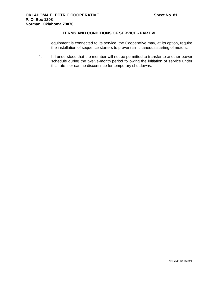equipment is connected to its service, the Cooperative may, at its option, require the installation of sequence starters to prevent simultaneous starting of motors.

4. It I understood that the member will not be permitted to transfer to another power schedule during the twelve-month period following the initiation of service under this rate, nor can he discontinue for temporary shutdowns.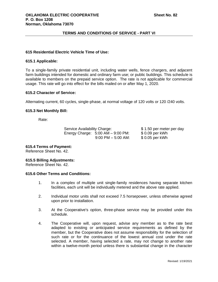## **615 Residential Electric Vehicle Time of Use:**

#### **615.1 Applicable:**

To a single-family private residential unit, including water wells, fence chargers, and adjacent farm buildings intended for domestic and ordinary farm use; or public buildings. This schedule is available to members on the prepaid service option. The rate is not applicable for commercial usage. This rate will go into effect for the bills mailed on or after May 1, 2020.

# **615.2 Character of Service:**

Alternating current, 60 cycles, single-phase, at normal voltage of 120 volts or 120 /240 volts.

## **615.3 Net Monthly Bill:**

Rate:

Service Availability Charge: \$ 1.50 per meter per day Energy Charge: 5:00 AM – 9:00 PM: \$ 0.09 per kWh 9:00 PM – 5:00 AM: \$ 0.05 per kWh

**615.4 Terms of Payment:**

Reference Sheet No. 42.

## **615.5 Billing Adjustments:**

Reference Sheet No. 42.

## **615.6 Other Terms and Conditions:**

- 1. In a complex of multiple unit single-family residences having separate kitchen facilities, each unit will be individually metered and the above rate applied.
- 2. Individual motor units shall not exceed 7.5 horsepower, unless otherwise agreed upon prior to installation.
- 3. At the Cooperative's option, three-phase service may be provided under this schedule.
- 4. The Cooperative will, upon request, advise any member as to the rate best adapted to existing or anticipated service requirements as defined by the member, but the Cooperative does not assume responsibility for the selection of such rate or for the continuance of the lowest annual cost under the rate selected. A member, having selected a rate, may not change to another rate within a twelve-month period unless there is substantial change in the character